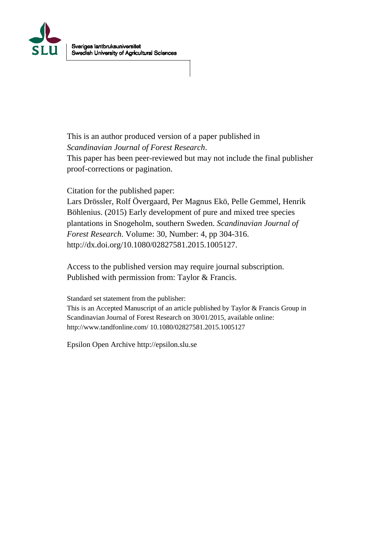

This is an author produced version of a paper published in *Scandinavian Journal of Forest Research*.

This paper has been peer-reviewed but may not include the final publisher proof-corrections or pagination.

Citation for the published paper:

Lars Drössler, Rolf Övergaard, Per Magnus Ekö, Pelle Gemmel, Henrik Böhlenius. (2015) Early development of pure and mixed tree species plantations in Snogeholm, southern Sweden. *Scandinavian Journal of Forest Research*. Volume: 30, Number: 4, pp 304-316. http://dx.doi.org/10.1080/02827581.2015.1005127.

Access to the published version may require journal subscription. Published with permission from: Taylor & Francis.

Standard set statement from the publisher:

This is an Accepted Manuscript of an article published by Taylor & Francis Group in Scandinavian Journal of Forest Research on 30/01/2015, available online: http://www.tandfonline.com/ 10.1080/02827581.2015.1005127

Epsilon Open Archive http://epsilon.slu.se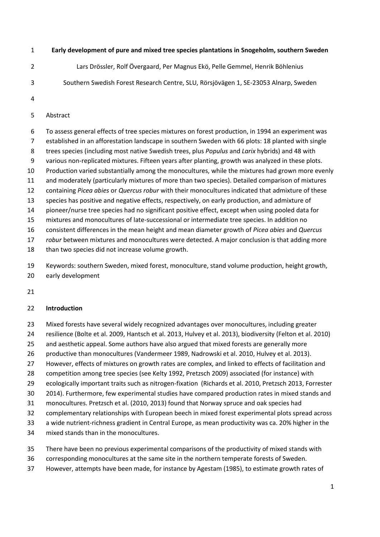#### **Early development of pure and mixed tree species plantations in Snogeholm, southern Sweden**

- Lars Drössler, Rolf Övergaard, Per Magnus Ekö, Pelle Gemmel, Henrik Böhlenius
- Southern Swedish Forest Research Centre, SLU, Rörsjövägen 1, SE-23053 Alnarp, Sweden
- 

#### Abstract

 To assess general effects of tree species mixtures on forest production, in 1994 an experiment was established in an afforestation landscape in southern Sweden with 66 plots: 18 planted with single trees species (including most native Swedish trees, plus *Populus* and *Larix* hybrids) and 48 with various non-replicated mixtures. Fifteen years after planting, growth was analyzed in these plots. Production varied substantially among the monocultures, while the mixtures had grown more evenly and moderately (particularly mixtures of more than two species). Detailed comparison of mixtures containing *Picea abies* or *Quercus robur* with their monocultures indicated that admixture of these species has positive and negative effects, respectively, on early production, and admixture of pioneer/nurse tree species had no significant positive effect, except when using pooled data for mixtures and monocultures of late-successional or intermediate tree species. In addition no consistent differences in the mean height and mean diameter growth of *Picea abies* and *Quercus robur* between mixtures and monocultures were detected. A major conclusion is that adding more

than two species did not increase volume growth.

 Keywords: southern Sweden, mixed forest, monoculture, stand volume production, height growth, early development

## **Introduction**

- Mixed forests have several widely recognized advantages over monocultures, including greater
- resilience (Bolte et al. 2009, Hantsch et al. 2013, Hulvey et al. 2013), biodiversity (Felton et al. 2010)
- and aesthetic appeal. Some authors have also argued that mixed forests are generally more
- productive than monocultures (Vandermeer 1989, Nadrowski et al. 2010, Hulvey et al. 2013).
- However, effects of mixtures on growth rates are complex, and linked to effects of facilitation and
- competition among tree species (see Kelty 1992, Pretzsch 2009) associated (for instance) with
- ecologically important traits such as nitrogen-fixation (Richards et al. 2010, Pretzsch 2013, Forrester
- 2014). Furthermore, few experimental studies have compared production rates in mixed stands and
- monocultures. Pretzsch et al. (2010, 2013) found that Norway spruce and oak species had
- complementary relationships with European beech in mixed forest experimental plots spread across
- a wide nutrient-richness gradient in Central Europe, as mean productivity was ca. 20% higher in the
- mixed stands than in the monocultures.
- There have been no previous experimental comparisons of the productivity of mixed stands with
- corresponding monocultures at the same site in the northern temperate forests of Sweden.
- However, attempts have been made, for instance by Agestam (1985), to estimate growth rates of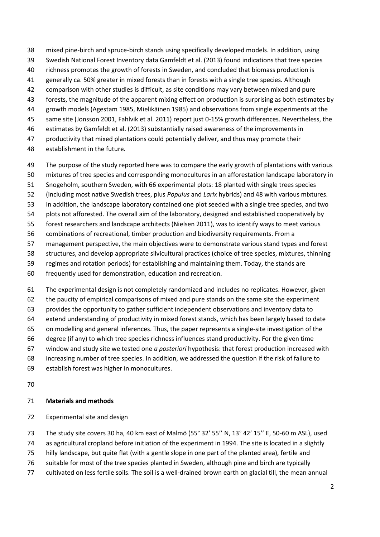- mixed pine-birch and spruce-birch stands using specifically developed models. In addition, using
- Swedish National Forest Inventory data Gamfeldt et al. (2013) found indications that tree species
- richness promotes the growth of forests in Sweden, and concluded that biomass production is
- generally ca. 50% greater in mixed forests than in forests with a single tree species. Although
- comparison with other studies is difficult, as site conditions may vary between mixed and pure
- forests, the magnitude of the apparent mixing effect on production is surprising as both estimates by
- growth models (Agestam 1985, Mielikäinen 1985) and observations from single experiments at the
- same site (Jonsson 2001, Fahlvik et al. 2011) report just 0-15% growth differences. Nevertheless, the
- estimates by Gamfeldt et al. (2013) substantially raised awareness of the improvements in
- productivity that mixed plantations could potentially deliver, and thus may promote their
- establishment in the future.
- The purpose of the study reported here was to compare the early growth of plantations with various
- mixtures of tree species and corresponding monocultures in an afforestation landscape laboratory in
- Snogeholm, southern Sweden, with 66 experimental plots: 18 planted with single trees species
- (including most native Swedish trees, plus *Populus* and *Larix* hybrids) and 48 with various mixtures.
- In addition, the landscape laboratory contained one plot seeded with a single tree species, and two plots not afforested. The overall aim of the laboratory, designed and established cooperatively by
- forest researchers and landscape architects (Nielsen 2011), was to identify ways to meet various
- combinations of recreational, timber production and biodiversity requirements. From a
- management perspective, the main objectives were to demonstrate various stand types and forest
- structures, and develop appropriate silvicultural practices (choice of tree species, mixtures, thinning
- regimes and rotation periods) for establishing and maintaining them. Today, the stands are
- frequently used for demonstration, education and recreation.
- The experimental design is not completely randomized and includes no replicates. However, given
- the paucity of empirical comparisons of mixed and pure stands on the same site the experiment
- provides the opportunity to gather sufficient independent observations and inventory data to
- extend understanding of productivity in mixed forest stands, which has been largely based to date
- on modelling and general inferences. Thus, the paper represents a single-site investigation of the
- degree (if any) to which tree species richness influences stand productivity. For the given time
- window and study site we tested one *a posteriori* hypothesis: that forest production increased with
- increasing number of tree species. In addition, we addressed the question if the risk of failure to
- establish forest was higher in monocultures.
- 

# **Materials and methods**

Experimental site and design

The study site covers 30 ha, 40 km east of Malmö (55° 32' 55'' N, 13° 42' 15'' E, 50-60 m ASL), used

- as agricultural cropland before initiation of the experiment in 1994. The site is located in a slightly
- hilly landscape, but quite flat (with a gentle slope in one part of the planted area), fertile and
- suitable for most of the tree species planted in Sweden, although pine and birch are typically
- cultivated on less fertile soils. The soil is a well-drained brown earth on glacial till, the mean annual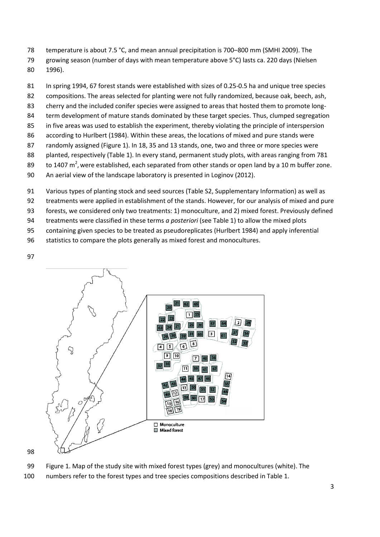- temperature is about 7.5 °C, and mean annual precipitation is 700–800 mm (SMHI 2009). The
- growing season (number of days with mean temperature above 5°C) lasts ca. 220 days (Nielsen 1996).
- In spring 1994, 67 forest stands were established with sizes of 0.25-0.5 ha and unique tree species
- compositions. The areas selected for planting were not fully randomized, because oak, beech, ash,
- cherry and the included conifer species were assigned to areas that hosted them to promote long-
- 84 term development of mature stands dominated by these target species. Thus, clumped segregation
- in five areas was used to establish the experiment, thereby violating the principle of interspersion
- according to Hurlbert (1984). Within these areas, the locations of mixed and pure stands were
- randomly assigned (Figure 1). In 18, 35 and 13 stands, one, two and three or more species were
- planted, respectively (Table 1). In every stand, permanent study plots, with areas ranging from 781
- 89 to 1407 m<sup>2</sup>, were established, each separated from other stands or open land by a 10 m buffer zone.
- An aerial view of the landscape laboratory is presented in Loginov (2012).
- Various types of planting stock and seed sources (Table S2, Supplementary Information) as well as
- treatments were applied in establishment of the stands. However, for our analysis of mixed and pure
- forests, we considered only two treatments: 1) monoculture, and 2) mixed forest. Previously defined
- treatments were classified in these terms *a posteriori* (see Table 1) to allow the mixed plots
- containing given species to be treated as pseudoreplicates (Hurlbert 1984) and apply inferential
- statistics to compare the plots generally as mixed forest and monocultures.
- 





- Figure 1. Map of the study site with mixed forest types (grey) and monocultures (white). The
- numbers refer to the forest types and tree species compositions described in Table 1.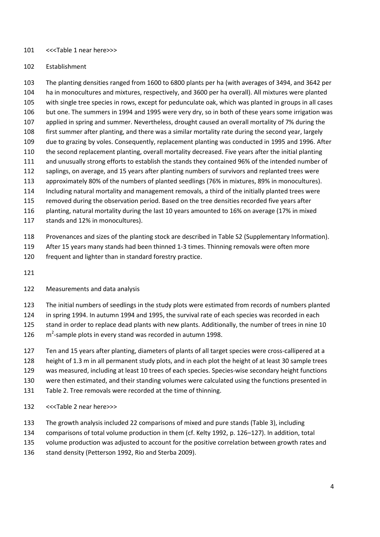#### <<<Table 1 near here>>>

#### Establishment

 The planting densities ranged from 1600 to 6800 plants per ha (with averages of 3494, and 3642 per ha in monocultures and mixtures, respectively, and 3600 per ha overall). All mixtures were planted with single tree species in rows, except for pedunculate oak, which was planted in groups in all cases but one. The summers in 1994 and 1995 were very dry, so in both of these years some irrigation was applied in spring and summer. Nevertheless, drought caused an overall mortality of 7% during the first summer after planting, and there was a similar mortality rate during the second year, largely due to grazing by voles. Consequently, replacement planting was conducted in 1995 and 1996. After the second replacement planting, overall mortality decreased. Five years after the initial planting and unusually strong efforts to establish the stands they contained 96% of the intended number of saplings, on average, and 15 years after planting numbers of survivors and replanted trees were approximately 80% of the numbers of planted seedlings (76% in mixtures, 89% in monocultures). Including natural mortality and management removals, a third of the initially planted trees were removed during the observation period. Based on the tree densities recorded five years after planting, natural mortality during the last 10 years amounted to 16% on average (17% in mixed stands and 12% in monocultures).

- Provenances and sizes of the planting stock are described in Table S2 (Supplementary Information).
- After 15 years many stands had been thinned 1-3 times. Thinning removals were often more
- frequent and lighter than in standard forestry practice.
- 

## Measurements and data analysis

The initial numbers of seedlings in the study plots were estimated from records of numbers planted

in spring 1994. In autumn 1994 and 1995, the survival rate of each species was recorded in each

stand in order to replace dead plants with new plants. Additionally, the number of trees in nine 10

- $\mathrm{m}^2$ -sample plots in every stand was recorded in autumn 1998.
- Ten and 15 years after planting, diameters of plants of all target species were cross-callipered at a height of 1.3 m in all permanent study plots, and in each plot the height of at least 30 sample trees was measured, including at least 10 trees of each species. Species-wise secondary height functions were then estimated, and their standing volumes were calculated using the functions presented in
- Table 2. Tree removals were recorded at the time of thinning.
- <<<Table 2 near here>>>
- The growth analysis included 22 comparisons of mixed and pure stands (Table 3), including
- comparisons of total volume production in them (cf. Kelty 1992, p. 126–127). In addition, total
- volume production was adjusted to account for the positive correlation between growth rates and
- 136 stand density (Petterson 1992, Rio and Sterba 2009).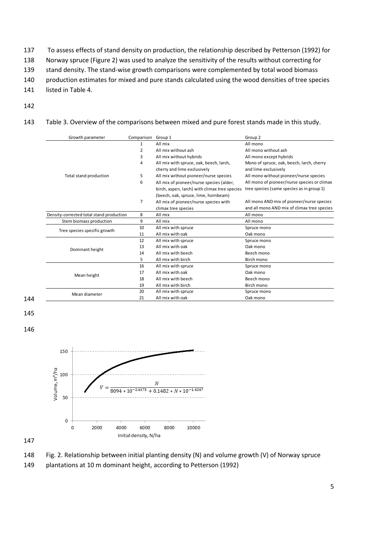To assess effects of stand density on production, the relationship described by Petterson (1992) for Norway spruce (Figure 2) was used to analyze the sensitivity of the results without correcting for stand density. The stand-wise growth comparisons were complemented by total wood biomass production estimates for mixed and pure stands calculated using the wood densities of tree species listed in Table 4.

- 
- Table 3. Overview of the comparisons between mixed and pure forest stands made in this study.

| Growth parameter                         | Comparison     | Group 1                                       | Group 2                                     |
|------------------------------------------|----------------|-----------------------------------------------|---------------------------------------------|
|                                          | $\mathbf{1}$   | All mix                                       | All mono                                    |
|                                          | 2              | All mix without ash                           | All mono without ash                        |
|                                          | 3              | All mix without hybrids                       | All mono except hybrids                     |
|                                          | 4              | All mix with spruce, oak, beech, larch,       | Mono of spruce, oak, beech, larch, cherry   |
|                                          |                | cherry and lime exclusively                   | and lime exclusively                        |
| Total stand production                   | 5              | All mix without pioneer/nurse species         | All mono without pioneer/nurse species      |
|                                          | 6              | All mix of pioneer/nurse species (alder,      | All mono of pioneer/nurse species or climax |
|                                          |                | birch, aspen, larch) with climax tree species | tree species (same species as in group 1)   |
|                                          |                | (beech, oak, spruce, lime, hornbeam)          |                                             |
|                                          | $\overline{7}$ | All mix of pioneer/nurse species with         | All mono AND mix of pioneer/nurse species   |
|                                          |                | climax tree species                           | and all mono AND mix of climax tree species |
| Density-corrected total stand production | 8              | All mix                                       | All mono                                    |
| Stem biomass production                  | 9              | All mix                                       | All mono                                    |
| Tree species specific growth             | 10             | All mix with spruce                           | Spruce mono                                 |
|                                          | 11             | All mix with oak                              | Oak mono                                    |
|                                          | 12             | All mix with spruce                           | Spruce mono                                 |
| Dominant height                          | 13             | All mix with oak                              | Oak mono                                    |
|                                          | 14             | All mix with beech                            | Beech mono                                  |
|                                          | 5              | All mix with birch                            | Birch mono                                  |
|                                          | 16             | All mix with spruce                           | Spruce mono                                 |
| Mean height                              | 17             | All mix with oak                              | Oak mono                                    |
|                                          | 18             | All mix with beech                            | Beech mono                                  |
|                                          | 19             | All mix with birch                            | Birch mono                                  |
| Mean diameter                            | 20             | All mix with spruce                           | Spruce mono                                 |
|                                          | 21             | All mix with oak                              | Oak mono                                    |

 



Fig. 2. Relationship between initial planting density (N) and volume growth (V) of Norway spruce

plantations at 10 m dominant height, according to Petterson (1992)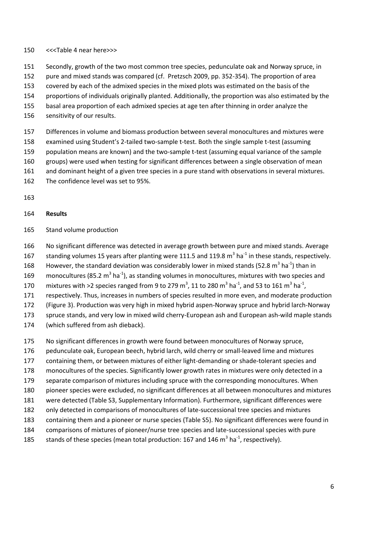#### <<<Table 4 near here>>>

- Secondly, growth of the two most common tree species, pedunculate oak and Norway spruce, in
- pure and mixed stands was compared (cf. Pretzsch 2009, pp. 352-354). The proportion of area
- covered by each of the admixed species in the mixed plots was estimated on the basis of the
- proportions of individuals originally planted. Additionally, the proportion was also estimated by the
- basal area proportion of each admixed species at age ten after thinning in order analyze the
- sensitivity of our results.
- Differences in volume and biomass production between several monocultures and mixtures were
- examined using Student's 2-tailed two-sample t-test. Both the single sample t-test (assuming
- population means are known) and the two-sample t-test (assuming equal variance of the sample
- groups) were used when testing for significant differences between a single observation of mean
- 161 and dominant height of a given tree species in a pure stand with observations in several mixtures.
- The confidence level was set to 95%.
- 

#### **Results**

- Stand volume production
- No significant difference was detected in average growth between pure and mixed stands. Average
- 167 standing volumes 15 years after planting were 111.5 and 119.8  $m^3$  ha<sup>-1</sup> in these stands, respectively.
- 168 However, the standard deviation was considerably lower in mixed stands (52.8 m<sup>3</sup> ha<sup>-1</sup>) than in
- 169 monocultures (85.2 m<sup>3</sup> ha<sup>-1</sup>), as standing volumes in monocultures, mixtures with two species and
- 170 mixtures with >2 species ranged from 9 to 279 m<sup>3</sup>, 11 to 280 m<sup>3</sup> ha<sup>-1</sup>, and 53 to 161 m<sup>3</sup> ha<sup>-1</sup>,
- respectively. Thus, increases in numbers of species resulted in more even, and moderate production
- (Figure 3). Production was very high in mixed hybrid aspen-Norway spruce and hybrid larch-Norway
- spruce stands, and very low in mixed wild cherry-European ash and European ash-wild maple stands
- (which suffered from ash dieback).
- No significant differences in growth were found between monocultures of Norway spruce,
- pedunculate oak, European beech, hybrid larch, wild cherry or small-leaved lime and mixtures
- containing them, or between mixtures of either light-demanding or shade-tolerant species and
- monocultures of the species. Significantly lower growth rates in mixtures were only detected in a
- separate comparison of mixtures including spruce with the corresponding monocultures. When
- pioneer species were excluded, no significant differences at all between monocultures and mixtures
- were detected (Table S3, Supplementary Information). Furthermore, significant differences were
- only detected in comparisons of monocultures of late-successional tree species and mixtures
- containing them and a pioneer or nurse species (Table S5). No significant differences were found in
- comparisons of mixtures of pioneer/nurse tree species and late-successional species with pure
- 185 stands of these species (mean total production: 167 and 146  $m^3$  ha<sup>-1</sup>, respectively).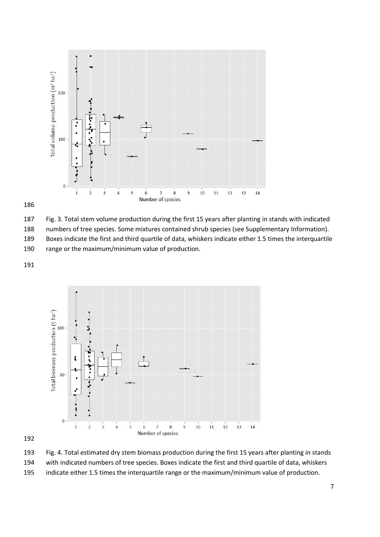





numbers of tree species. Some mixtures contained shrub species (see Supplementary Information).

 Boxes indicate the first and third quartile of data, whiskers indicate either 1.5 times the interquartile range or the maximum/minimum value of production.





 Fig. 4. Total estimated dry stem biomass production during the first 15 years after planting in stands with indicated numbers of tree species. Boxes indicate the first and third quartile of data, whiskers indicate either 1.5 times the interquartile range or the maximum/minimum value of production.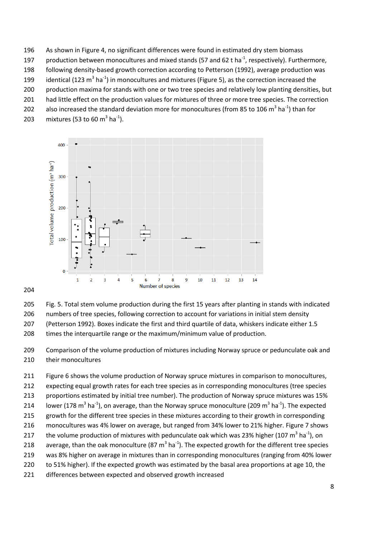- As shown in Figure 4, no significant differences were found in estimated dry stem biomass
- 197 production between monocultures and mixed stands (57 and 62 t ha<sup>-1</sup>, respectively). Furthermore,
- following density-based growth correction according to Petterson (1992), average production was
- 199 identical (123 m<sup>3</sup> ha<sup>-1</sup>) in monocultures and mixtures (Figure 5), as the correction increased the
- production maxima for stands with one or two tree species and relatively low planting densities, but
- 201 had little effect on the production values for mixtures of three or more tree species. The correction
- 202 also increased the standard deviation more for monocultures (from 85 to 106 m<sup>3</sup> ha<sup>-1</sup>) than for
- 203 mixtures (53 to 60 m<sup>3</sup> ha<sup>-1</sup>).



Fig. 5. Total stem volume production during the first 15 years after planting in stands with indicated

- numbers of tree species, following correction to account for variations in initial stem density
- (Petterson 1992). Boxes indicate the first and third quartile of data, whiskers indicate either 1.5
- times the interquartile range or the maximum/minimum value of production.
- Comparison of the volume production of mixtures including Norway spruce or pedunculate oak and their monocultures
- Figure 6 shows the volume production of Norway spruce mixtures in comparison to monocultures, expecting equal growth rates for each tree species as in corresponding monocultures (tree species proportions estimated by initial tree number). The production of Norway spruce mixtures was 15% 214 Iower (178 m<sup>3</sup> ha<sup>-1</sup>), on average, than the Norway spruce monoculture (209 m<sup>3</sup> ha<sup>-1</sup>). The expected growth for the different tree species in these mixtures according to their growth in corresponding monocultures was 4% lower on average, but ranged from 34% lower to 21% higher. Figure 7 shows 217 bhe volume production of mixtures with pedunculate oak which was 23% higher (107 m<sup>3</sup> ha<sup>-1</sup>), on 218 average, than the oak monoculture (87 m<sup>3</sup> ha<sup>-1</sup>). The expected growth for the different tree species was 8% higher on average in mixtures than in corresponding monocultures (ranging from 40% lower to 51% higher). If the expected growth was estimated by the basal area proportions at age 10, the
- differences between expected and observed growth increased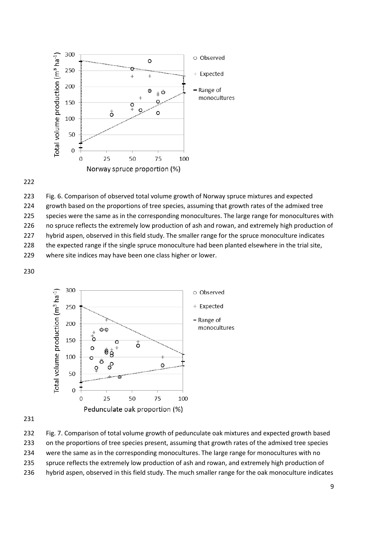

 Fig. 6. Comparison of observed total volume growth of Norway spruce mixtures and expected 224 growth based on the proportions of tree species, assuming that growth rates of the admixed tree 225 species were the same as in the corresponding monocultures. The large range for monocultures with no spruce reflects the extremely low production of ash and rowan, and extremely high production of hybrid aspen, observed in this field study. The smaller range for the spruce monoculture indicates 228 the expected range if the single spruce monoculture had been planted elsewhere in the trial site, where site indices may have been one class higher or lower. 



 Fig. 7. Comparison of total volume growth of pedunculate oak mixtures and expected growth based on the proportions of tree species present, assuming that growth rates of the admixed tree species were the same as in the corresponding monocultures. The large range for monocultures with no 235 spruce reflects the extremely low production of ash and rowan, and extremely high production of hybrid aspen, observed in this field study. The much smaller range for the oak monoculture indicates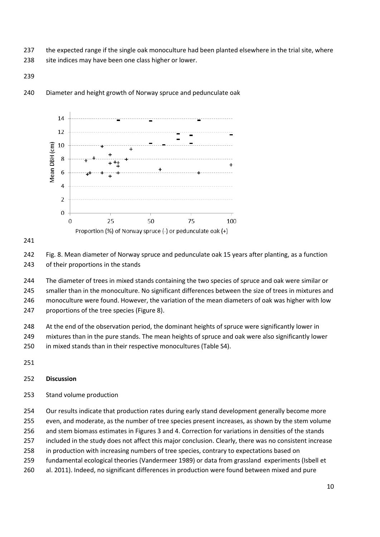- 237 the expected range if the single oak monoculture had been planted elsewhere in the trial site, where
- 238 site indices may have been one class higher or lower.
- 

## Diameter and height growth of Norway spruce and pedunculate oak



## 

 Fig. 8. Mean diameter of Norway spruce and pedunculate oak 15 years after planting, as a function of their proportions in the stands

 The diameter of trees in mixed stands containing the two species of spruce and oak were similar or smaller than in the monoculture. No significant differences between the size of trees in mixtures and monoculture were found. However, the variation of the mean diameters of oak was higher with low proportions of the tree species (Figure 8).

248 At the end of the observation period, the dominant heights of spruce were significantly lower in

mixtures than in the pure stands. The mean heights of spruce and oak were also significantly lower

in mixed stands than in their respective monocultures (Table S4).

## **Discussion**

Stand volume production

254 Our results indicate that production rates during early stand development generally become more

even, and moderate, as the number of tree species present increases, as shown by the stem volume

- and stem biomass estimates in Figures 3 and 4. Correction for variations in densities of the stands
- included in the study does not affect this major conclusion. Clearly, there was no consistent increase
- in production with increasing numbers of tree species, contrary to expectations based on
- fundamental ecological theories (Vandermeer 1989) or data from grassland experiments (Isbell et
- al. 2011). Indeed, no significant differences in production were found between mixed and pure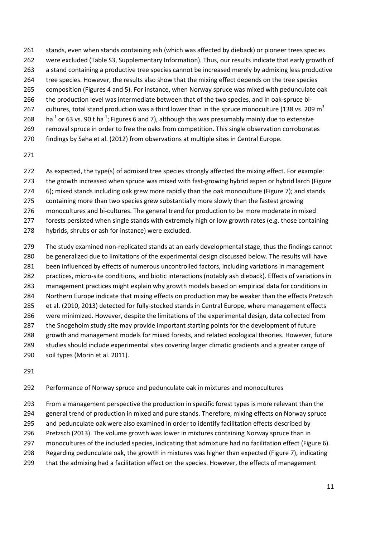- stands, even when stands containing ash (which was affected by dieback) or pioneer trees species
- were excluded (Table S3, Supplementary Information). Thus, our results indicate that early growth of
- a stand containing a productive tree species cannot be increased merely by admixing less productive
- 264 tree species. However, the results also show that the mixing effect depends on the tree species composition (Figures 4 and 5). For instance, when Norway spruce was mixed with pedunculate oak
- 
- the production level was intermediate between that of the two species, and in oak-spruce bicultures, total stand production was a third lower than in the spruce monoculture (138 vs. 209  $m<sup>3</sup>$
- 268 ha<sup>-1</sup> or 63 vs. 90 t ha<sup>-1</sup>; Figures 6 and 7), although this was presumably mainly due to extensive
- 269 removal spruce in order to free the oaks from competition. This single observation corroborates
- findings by Saha et al. (2012) from observations at multiple sites in Central Europe.
- 
- As expected, the type(s) of admixed tree species strongly affected the mixing effect. For example:
- the growth increased when spruce was mixed with fast-growing hybrid aspen or hybrid larch (Figure
- 6); mixed stands including oak grew more rapidly than the oak monoculture (Figure 7); and stands
- containing more than two species grew substantially more slowly than the fastest growing
- monocultures and bi-cultures. The general trend for production to be more moderate in mixed
- forests persisted when single stands with extremely high or low growth rates (e.g. those containing
- hybrids, shrubs or ash for instance) were excluded.
- The study examined non-replicated stands at an early developmental stage, thus the findings cannot be generalized due to limitations of the experimental design discussed below. The results will have been influenced by effects of numerous uncontrolled factors, including variations in management practices, micro-site conditions, and biotic interactions (notably ash dieback). Effects of variations in management practices might explain why growth models based on empirical data for conditions in Northern Europe indicate that mixing effects on production may be weaker than the effects Pretzsch et al. (2010, 2013) detected for fully-stocked stands in Central Europe, where management effects were minimized. However, despite the limitations of the experimental design, data collected from the Snogeholm study site may provide important starting points for the development of future growth and management models for mixed forests, and related ecological theories. However, future studies should include experimental sites covering larger climatic gradients and a greater range of
- soil types (Morin et al. 2011).
- 
- Performance of Norway spruce and pedunculate oak in mixtures and monocultures
- From a management perspective the production in specific forest types is more relevant than the
- general trend of production in mixed and pure stands. Therefore, mixing effects on Norway spruce
- and pedunculate oak were also examined in order to identify facilitation effects described by
- Pretzsch (2013). The volume growth was lower in mixtures containing Norway spruce than in
- monocultures of the included species, indicating that admixture had no facilitation effect (Figure 6).
- Regarding pedunculate oak, the growth in mixtures was higher than expected (Figure 7), indicating
- that the admixing had a facilitation effect on the species. However, the effects of management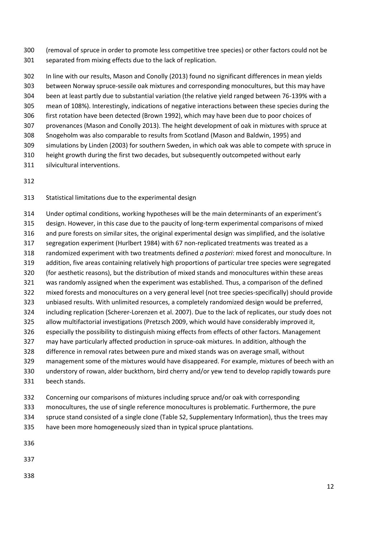(removal of spruce in order to promote less competitive tree species) or other factors could not be separated from mixing effects due to the lack of replication.

 In line with our results, Mason and Conolly (2013) found no significant differences in mean yields between Norway spruce-sessile oak mixtures and corresponding monocultures, but this may have been at least partly due to substantial variation (the relative yield ranged between 76-139% with a mean of 108%). Interestingly, indications of negative interactions between these species during the first rotation have been detected (Brown 1992), which may have been due to poor choices of provenances (Mason and Conolly 2013). The height development of oak in mixtures with spruce at Snogeholm was also comparable to results from Scotland (Mason and Baldwin, 1995) and simulations by Linden (2003) for southern Sweden, in which oak was able to compete with spruce in height growth during the first two decades, but subsequently outcompeted without early

- silvicultural interventions.
- 

## Statistical limitations due to the experimental design

 Under optimal conditions, working hypotheses will be the main determinants of an experiment's design. However, in this case due to the paucity of long-term experimental comparisons of mixed and pure forests on similar sites, the original experimental design was simplified, and the isolative segregation experiment (Hurlbert 1984) with 67 non-replicated treatments was treated as a randomized experiment with two treatments defined *a posteriori*: mixed forest and monoculture. In addition, five areas containing relatively high proportions of particular tree species were segregated (for aesthetic reasons), but the distribution of mixed stands and monocultures within these areas was randomly assigned when the experiment was established. Thus, a comparison of the defined mixed forests and monocultures on a very general level (not tree species-specifically) should provide unbiased results. With unlimited resources, a completely randomized design would be preferred, including replication (Scherer-Lorenzen et al. 2007). Due to the lack of replicates, our study does not allow multifactorial investigations (Pretzsch 2009, which would have considerably improved it, especially the possibility to distinguish mixing effects from effects of other factors. Management may have particularly affected production in spruce-oak mixtures. In addition, although the difference in removal rates between pure and mixed stands was on average small, without management some of the mixtures would have disappeared. For example, mixtures of beech with an understory of rowan, alder buckthorn, bird cherry and/or yew tend to develop rapidly towards pure beech stands.

- Concerning our comparisons of mixtures including spruce and/or oak with corresponding monocultures, the use of single reference monocultures is problematic. Furthermore, the pure spruce stand consisted of a single clone (Table S2, Supplementary Information), thus the trees may
- have been more homogeneously sized than in typical spruce plantations.
- 
- 
-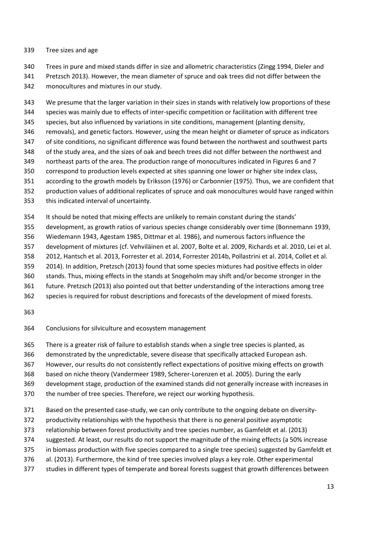#### Tree sizes and age

Trees in pure and mixed stands differ in size and allometric characteristics (Zingg 1994, Dieler and

 Pretzsch 2013). However, the mean diameter of spruce and oak trees did not differ between the monocultures and mixtures in our study.

 We presume that the larger variation in their sizes in stands with relatively low proportions of these species was mainly due to effects of inter-specific competition or facilitation with different tree species, but also influenced by variations in site conditions, management (planting density, removals), and genetic factors. However, using the mean height or diameter of spruce as indicators of site conditions, no significant difference was found between the northwest and southwest parts of the study area, and the sizes of oak and beech trees did not differ between the northwest and northeast parts of the area. The production range of monocultures indicated in Figures 6 and 7

- correspond to production levels expected at sites spanning one lower or higher site index class,
- according to the growth models by Eriksson (1976) or Carbonnier (1975). Thus, we are confident that
- production values of additional replicates of spruce and oak monocultures would have ranged within
- this indicated interval of uncertainty.
- It should be noted that mixing effects are unlikely to remain constant during the stands'
- development, as growth ratios of various species change considerably over time (Bonnemann 1939,
- Wiedemann 1943, Agestam 1985, Dittmar et al. 1986), and numerous factors influence the
- development of mixtures (cf. Vehviläinen et al. 2007, Bolte et al. 2009, Richards et al. 2010, Lei et al.
- 2012, Hantsch et al. 2013, Forrester et al. 2014, Forrester 2014b, Pollastrini et al. 2014, Collet et al.
- 2014). In addition, Pretzsch (2013) found that some species mixtures had positive effects in older
- stands. Thus, mixing effects in the stands at Snogeholm may shift and/or become stronger in the
- future. Pretzsch (2013) also pointed out that better understanding of the interactions among tree
- species is required for robust descriptions and forecasts of the development of mixed forests.
- 
- Conclusions for silviculture and ecosystem management
- There is a greater risk of failure to establish stands when a single tree species is planted, as
- demonstrated by the unpredictable, severe disease that specifically attacked European ash.
- However, our results do not consistently reflect expectations of positive mixing effects on growth
- based on niche theory (Vandermeer 1989, Scherer-Lorenzen et al. 2005). During the early
- development stage, production of the examined stands did not generally increase with increases in
- the number of tree species. Therefore, we reject our working hypothesis.
- Based on the presented case-study, we can only contribute to the ongoing debate on diversity-
- productivity relationships with the hypothesis that there is no general positive asymptotic
- relationship between forest productivity and tree species number, as Gamfeldt et al. (2013)
- suggested. At least, our results do not support the magnitude of the mixing effects (a 50% increase
- in biomass production with five species compared to a single tree species) suggested by Gamfeldt et
- al. (2013). Furthermore, the kind of tree species involved plays a key role. Other experimental
- studies in different types of temperate and boreal forests suggest that growth differences between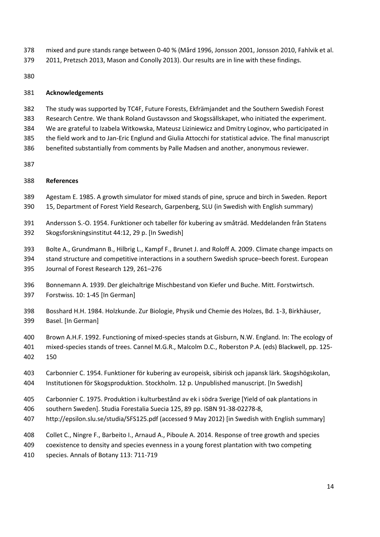- mixed and pure stands range between 0-40 % (Mård 1996, Jonsson 2001, Jonsson 2010, Fahlvik et al.
- 2011, Pretzsch 2013, Mason and Conolly 2013). Our results are in line with these findings.

## **Acknowledgements**

- The study was supported by TC4F, Future Forests, Ekfrämjandet and the Southern Swedish Forest
- Research Centre. We thank Roland Gustavsson and Skogssällskapet, who initiated the experiment.
- We are grateful to Izabela Witkowska, Mateusz Liziniewicz and Dmitry Loginov, who participated in
- the field work and to Jan-Eric Englund and Giulia Attocchi for statistical advice. The final manuscript
- benefited substantially from comments by Palle Madsen and another, anonymous reviewer.
- 

## **References**

- Agestam E. 1985. A growth simulator for mixed stands of pine, spruce and birch in Sweden. Report
- 15, Department of Forest Yield Research, Garpenberg, SLU (in Swedish with English summary)
- Andersson S.-O. 1954. Funktioner och tabeller för kubering av småträd. Meddelanden från Statens Skogsforskningsinstitut 44:12, 29 p. [In Swedish]
- Bolte A., Grundmann B., Hilbrig L., Kampf F., Brunet J. and Roloff A. 2009. Climate change impacts on
- stand structure and competitive interactions in a southern Swedish spruce–beech forest. European
- Journal of Forest Research 129, 261–276
- Bonnemann A. 1939. Der gleichaltrige Mischbestand von Kiefer und Buche. Mitt. Forstwirtsch. Forstwiss. 10: 1-45 [In German]
- Bosshard H.H. 1984. Holzkunde. Zur Biologie, Physik und Chemie des Holzes, Bd. 1-3, Birkhäuser, Basel. [In German]
- Brown A.H.F. 1992. Functioning of mixed-species stands at Gisburn, N.W. England. In: The ecology of mixed-species stands of trees. Cannel M.G.R., Malcolm D.C., Roberston P.A. (eds) Blackwell, pp. 125-
- 150
- Carbonnier C. 1954. Funktioner för kubering av europeisk, sibirisk och japansk lärk. Skogshögskolan, Institutionen för Skogsproduktion. Stockholm. 12 p. Unpublished manuscript. [In Swedish]
- Carbonnier C. 1975. Produktion i kulturbestånd av ek i södra Sverige [Yield of oak plantations in
- southern Sweden]. Studia Forestalia Suecia 125, 89 pp. ISBN 91-38-02278-8,
- http://epsilon.slu.se/studia/SFS125.pdf (accessed 9 May 2012) [in Swedish with English summary]
- Collet C., Ningre F., Barbeito I., Arnaud A., Piboule A. 2014. Response of tree growth and species
- coexistence to density and species evenness in a young forest plantation with two competing
- species. Annals of Botany 113: 711-719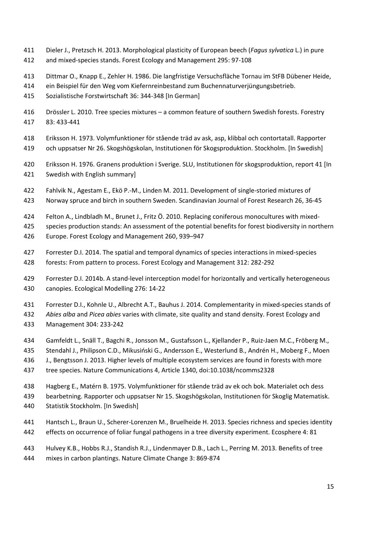- Dieler J., Pretzsch H. 2013. Morphological plasticity of European beech (*Fagus sylvatica* L.) in pure
- and mixed-species stands. Forest Ecology and Management 295: 97-108
- Dittmar O., Knapp E., Zehler H. 1986. Die langfristige Versuchsfläche Tornau im StFB Dübener Heide,
- ein Beispiel für den Weg vom Kiefernreinbestand zum Buchennaturverjüngungsbetrieb.
- Sozialistische Forstwirtschaft 36: 344-348 [In German]
- Drössler L. 2010. Tree species mixtures a common feature of southern Swedish forests. Forestry 83: 433-441
- Eriksson H. 1973. Volymfunktioner för stående träd av ask, asp, klibbal och contortatall. Rapporter
- och uppsatser Nr 26. Skogshögskolan, Institutionen för Skogsproduktion. Stockholm. [In Swedish]
- Eriksson H. 1976. Granens produktion i Sverige. SLU, Institutionen för skogsproduktion, report 41 [In Swedish with English summary]
- Fahlvik N., Agestam E., Ekö P.-M., Linden M. 2011. Development of single-storied mixtures of
- Norway spruce and birch in southern Sweden. Scandinavian Journal of Forest Research 26, 36-45
- Felton A., Lindbladh M., Brunet J., Fritz Ö. 2010. Replacing coniferous monocultures with mixed-
- species production stands: An assessment of the potential benefits for forest biodiversity in northern
- Europe. Forest Ecology and Management 260, 939–947
- Forrester D.I. 2014. The spatial and temporal dynamics of species interactions in mixed-species forests: From pattern to process. Forest Ecology and Management 312: 282-292
- Forrester D.I. 2014b. A stand-level interception model for horizontally and vertically heterogeneous canopies. Ecological Modelling 276: 14-22
- Forrester D.I., Kohnle U., Albrecht A.T., Bauhus J. 2014. Complementarity in mixed-species stands of
- *Abies alba* and *Picea abies* varies with climate, site quality and stand density. Forest Ecology and
- Management 304: 233-242
- Gamfeldt L., Snäll T., Bagchi R., Jonsson M., Gustafsson L., Kjellander P., Ruiz-Jaen M.C., Fröberg M.,
- Stendahl J., Philipson C.D., Mikusiński G., Andersson E., Westerlund B., Andrén H., Moberg F., Moen
- J., Bengtsson J. 2013. Higher levels of multiple ecosystem services are found in forests with more
- tree species. Nature Communications 4, Article 1340, doi:10.1038/ncomms2328
- Hagberg E., Matérn B. 1975. Volymfunktioner för stående träd av ek och bok. Materialet och dess bearbetning. Rapporter och uppsatser Nr 15. Skogshögskolan, Institutionen för Skoglig Matematisk. Statistik Stockholm. [In Swedish]
- Hantsch L., Braun U., Scherer-Lorenzen M., Bruelheide H. 2013. Species richness and species identity effects on occurrence of foliar fungal pathogens in a tree diversity experiment. Ecosphere 4: 81
- Hulvey K.B., Hobbs R.J., Standish R.J., Lindenmayer D.B., Lach L., Perring M. 2013. Benefits of tree mixes in carbon plantings. Nature Climate Change 3: 869-874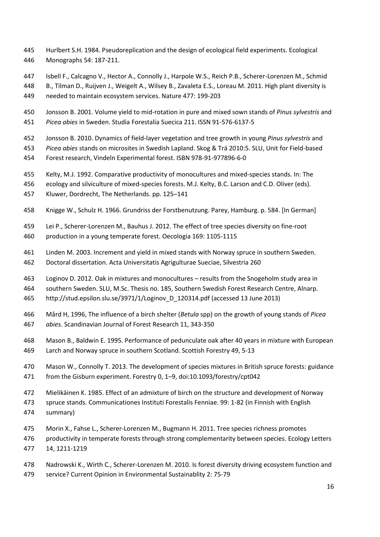- Hurlbert S.H. 1984. Pseudoreplication and the design of ecological field experiments. Ecological Monographs 54: 187-211.
- Isbell F., Calcagno V., Hector A., Connolly J., Harpole W.S., Reich P.B., Scherer-Lorenzen M., Schmid

B., Tilman D., Ruijven J., Weigelt A., Wilsey B., Zavaleta E.S., Loreau M. 2011. High plant diversity is

- needed to maintain ecosystem services. Nature 477: 199-203
- Jonsson B. 2001. Volume yield to mid-rotation in pure and mixed sown stands of *Pinus sylvestris* and *Picea abies* in Sweden. Studia Forestalia Suecica 211. ISSN 91-576-6137-5
- Jonsson B. 2010. Dynamics of field-layer vegetation and tree growth in young *Pinus sylvestris* and
- *Picea abies* stands on microsites in Swedish Lapland. Skog & Trä 2010:5. SLU, Unit for Field-based
- Forest research, Vindeln Experimental forest. ISBN 978-91-977896-6-0
- Kelty, M.J. 1992. Comparative productivity of monocultures and mixed-species stands. In: The
- ecology and silviculture of mixed-species forests. M.J. Kelty, B.C. Larson and C.D. Oliver (eds).
- Kluwer, Dordrecht, The Netherlands. pp. 125–141
- Knigge W., Schulz H. 1966. Grundriss der Forstbenutzung. Parey, Hamburg. p. 584. [In German]
- Lei P., Scherer-Lorenzen M., Bauhus J. 2012. The effect of tree species diversity on fine-root production in a young temperate forest. Oecologia 169: 1105-1115
- Linden M. 2003. Increment and yield in mixed stands with Norway spruce in southern Sweden.
- Doctoral dissertation. Acta Universitatis Agrigulturae Sueciae, Silvestria 260
- Loginov D. 2012. Oak in mixtures and monocultures results from the Snogeholm study area in
- southern Sweden. SLU, M.Sc. Thesis no. 185, Southern Swedish Forest Research Centre, Alnarp.
- http://stud.epsilon.slu.se/3971/1/Loginov\_D\_120314.pdf (accessed 13 June 2013)
- Mård H, 1996, The influence of a birch shelter (*Betula* spp) on the growth of young stands of *Picea abies*. Scandinavian Journal of Forest Research 11, 343-350
- Mason B., Baldwin E. 1995. Performance of pedunculate oak after 40 years in mixture with European Larch and Norway spruce in southern Scotland. Scottish Forestry 49, 5-13
- Mason W., Connolly T. 2013. The development of species mixtures in British spruce forests: guidance from the Gisburn experiment. Forestry 0, 1–9, doi:10.1093/forestry/cpt042
- Mielikäinen K. 1985. Effect of an admixture of birch on the structure and development of Norway
- spruce stands. Communicationes Instituti Forestalis Fenniae. 99: 1-82 (in Finnish with English
- summary)
- Morin X., Fahse L., Scherer-Lorenzen M., Bugmann H. 2011. Tree species richness promotes
- productivity in temperate forests through strong complementarity between species. Ecology Letters 14, 1211-1219
- Nadrowski K., Wirth C., Scherer-Lorenzen M. 2010. Is forest diversity driving ecosystem function and
- service? Current Opinion in Environmental Sustainablity 2: 75-79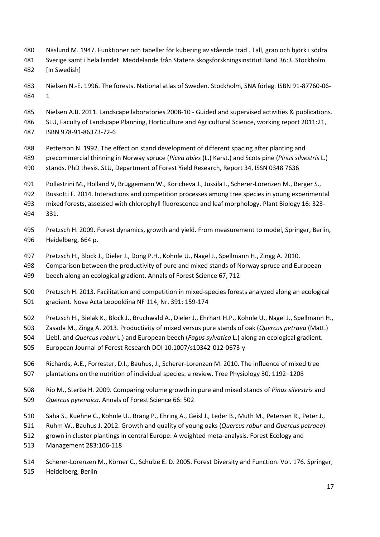- Näslund M. 1947. Funktioner och tabeller för kubering av stående träd . Tall, gran och björk i södra
- Sverige samt i hela landet. Meddelande från Statens skogsforskningsinstitut Band 36:3. Stockholm.
- [In Swedish]
- Nielsen N.-E. 1996. The forests. National atlas of Sweden. Stockholm, SNA förlag. ISBN 91-87760-06- 1
- Nielsen A.B. 2011. Landscape laboratories 2008-10 Guided and supervised activities & publications.
- SLU, Faculty of Landscape Planning, Horticulture and Agricultural Science, working report 2011:21, ISBN 978-91-86373-72-6
- Petterson N. 1992. The effect on stand development of different spacing after planting and precommercial thinning in Norway spruce (*Picea abies* (L.) Karst.) and Scots pine (*Pinus silvestris* L.)
- stands. PhD thesis. SLU, Department of Forest Yield Research, Report 34, ISSN 0348 7636
- Pollastrini M., Holland V, Bruggemann W., Koricheva J., Jussila I., Scherer-Lorenzen M., Berger S.,
- Bussotti F. 2014. Interactions and competition processes among tree species in young experimental
- mixed forests, assessed with chlorophyll fluorescence and leaf morphology. Plant Biology 16: 323- 331.
- Pretzsch H. 2009. Forest dynamics, growth and yield. From measurement to model, Springer, Berlin, Heidelberg, 664 p.
- Pretzsch H., Block J., Dieler J., Dong P.H., Kohnle U., Nagel J., Spellmann H., Zingg A. 2010.
- Comparison between the productivity of pure and mixed stands of Norway spruce and European beech along an ecological gradient. Annals of Forest Science 67, 712
- Pretzsch H. 2013. Facilitation and competition in mixed-species forests analyzed along an ecological gradient. Nova Acta Leopoldina NF 114, Nr. 391: 159-174
- Pretzsch H., Bielak K., Block J., Bruchwald A., Dieler J., Ehrhart H.P., Kohnle U., Nagel J., Spellmann H.,
- Zasada M., Zingg A. 2013. Productivity of mixed versus pure stands of oak (*Quercus petraea* (Matt.)
- Liebl. and *Quercus robur* L.) and European beech (*Fagus sylvatica* L.) along an ecological gradient.
- European Journal of Forest Research DOI 10.1007/s10342-012-0673-y
- Richards, A.E., Forrester, D.I., Bauhus, J., Scherer-Lorenzen M. 2010. The influence of mixed tree plantations on the nutrition of individual species: a review. Tree Physiology 30, 1192–1208
- Rio M., Sterba H. 2009. Comparing volume growth in pure and mixed stands of *Pinus silvestris* and *Quercus pyrenaica*. Annals of Forest Science 66: 502
- Saha S., Kuehne C., Kohnle U., Brang P., Ehring A., Geisl J., Leder B., Muth M., Petersen R., Peter J.,
- Ruhm W., Bauhus J. 2012. Growth and quality of young oaks (*Quercus robur* and *Quercus petraea*)
- grown in cluster plantings in central Europe: A weighted meta-analysis. Forest Ecology and
- Management 283:106-118
- Scherer-Lorenzen M., Körner C., Schulze E. D. 2005. Forest Diversity and Function. Vol. 176. Springer, Heidelberg, Berlin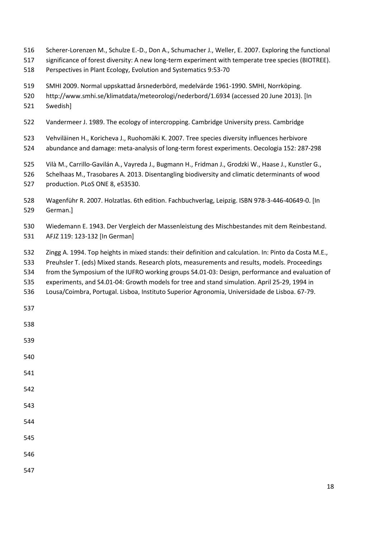- Scherer-Lorenzen M., Schulze E.-D., Don A., Schumacher J., Weller, E. 2007. Exploring the functional
- significance of forest diversity: A new long-term experiment with temperate tree species (BIOTREE).
- Perspectives in Plant Ecology, Evolution and Systematics 9:53-70
- SMHI 2009. Normal uppskattad årsnederbörd, medelvärde 1961-1990. SMHI, Norrköping.
- http://www.smhi.se/klimatdata/meteorologi/nederbord/1.6934 (accessed 20 June 2013). [In
- Swedish]
- Vandermeer J. 1989. The ecology of intercropping. Cambridge University press. Cambridge
- Vehviläinen H., Koricheva J., Ruohomäki K. 2007. Tree species diversity influences herbivore
- abundance and damage: meta-analysis of long-term forest experiments. Oecologia 152: 287-298
- Vilà M., Carrillo-Gavilán A., Vayreda J., Bugmann H., Fridman J., Grodzki W., Haase J., Kunstler G.,
- Schelhaas M., Trasobares A. 2013. Disentangling biodiversity and climatic determinants of wood
- production. PLoS ONE 8, e53530.
- Wagenführ R. 2007. Holzatlas. 6th edition. Fachbuchverlag, Leipzig. ISBN 978-3-446-40649-0. [In German.]
- Wiedemann E. 1943. Der Vergleich der Massenleistung des Mischbestandes mit dem Reinbestand. AFJZ 119: 123-132 [In German]
- Zingg A. 1994. Top heights in mixed stands: their definition and calculation. In: Pinto da Costa M.E.,
- Preuhsler T. (eds) Mixed stands. Research plots, measurements and results, models. Proceedings
- from the Symposium of the IUFRO working groups S4.01-03: Design, performance and evaluation of
- experiments, and S4.01-04: Growth models for tree and stand simulation. April 25-29, 1994 in
- Lousa/Coimbra, Portugal. Lisboa, Instituto Superior Agronomia, Universidade de Lisboa. 67-79.
- 
- 
- 
- 
- 
- 
- 
- 
- 
- 
- 
-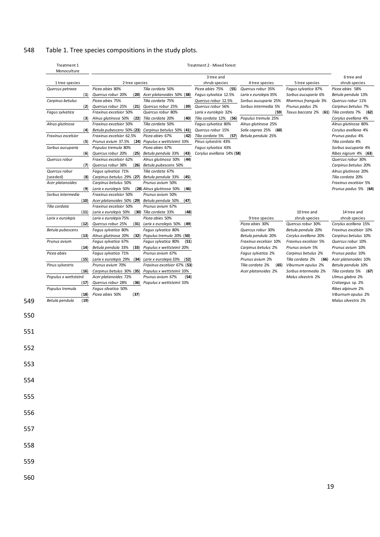# 548 Table 1. Tree species compositions in the study plots.

| 1 tree species<br>Quercus petraea<br>(1)<br>Carpinus betulus<br>(2)<br>Fagus sylvatica | 2 tree species                                      |                                                      | 3 tree and                               |                                              |                                        | 6 tree and                                    |
|----------------------------------------------------------------------------------------|-----------------------------------------------------|------------------------------------------------------|------------------------------------------|----------------------------------------------|----------------------------------------|-----------------------------------------------|
|                                                                                        |                                                     |                                                      | shrub species                            | 4 tree species                               | 5 tree species                         | shrub species                                 |
|                                                                                        | Picea abies 80%                                     | Tilia cordata 50%                                    | Picea abies 75%<br>(55)                  | Quercus robur 35%                            | Fagus sylvatica 87%                    | Picea abies 58%                               |
|                                                                                        | (20)<br>Quercus robur 20%                           | Acer platanoides 50% (38)                            | Fagus sylvatica 12.5%                    | Larix x eurolepis 35%                        | Sorbus aucuparia 6%                    | Betula pendula 13%                            |
|                                                                                        | Picea abies 75%                                     | Tilia cordata 75%                                    | Quercus robur 12.5%                      | Sorbus aucuparia 25%                         | Rhamnus frangula 3%                    | Quercus robur 11%                             |
|                                                                                        | Quercus robur 25%<br>(21)                           | Quercus robur 25%<br>(39)                            | Quercus robur 56%                        | Sorbus intermedia 5%                         | Prunus padus 2%                        | Carpinus betulus 7%                           |
|                                                                                        | Fraxinus excelsior 50%                              | Quercus robur 80%                                    | Larix x eurolepis 32%                    | (59)                                         | Taxus baccata 2% (61) Tilia cordata 7% | (62)                                          |
| (3)                                                                                    | Alnus glutinosa 50%<br>Fraxinus excelsior 50%       | (22) Tilia cordata 20%<br>(40)<br>Tilia cordata 50%  | Tilia cordata 12% (56)                   | Populus tremula 25%                          |                                        | Corylus avellana 4%<br>Alnus glutinosa 80%    |
| Alnus glutinosa<br>(4)                                                                 | Betula pubescens 50% (23) Carpinus betulus 50% (41) |                                                      | Fagus sylvatica 80%<br>Quercus robur 15% | Alnus glutinosa 25%<br>Salix caprea 25% (60) |                                        | Corylus avellana 4%                           |
| Fraxinus excelsior                                                                     | Fraxinus excelsior 62.5%                            | Picea abies 67%<br>(42)                              | Tilia cordata 5%<br>(57)                 | Betula pendula 25%                           |                                        | Prunus padus 4%                               |
| (5)                                                                                    | Prunus avium 37.5%                                  | (24) Populus x wettsteinii 33%                       | Pinus sylvestris 43%                     |                                              |                                        | Tilia cordata 4%                              |
| Sorbus aucuparia                                                                       | Populus tremula 80%                                 | Picea abies 67%                                      | Fagus sylvatica 43%                      |                                              |                                        | Sorbus aucuparia 4%                           |
| (6)                                                                                    | Quercus robur 20%                                   | (25) Betula pendula 33%<br>(43)                      | Corylus avellana 14% (58)                |                                              |                                        | Ribes nigrum 4% (63)                          |
| Quercus robur                                                                          | Fraxinus excelsior 62%                              | Alnus glutinosa 50%<br>(44)                          |                                          |                                              |                                        | Quercus robur 30%                             |
| (7)                                                                                    | Quercus robur 38%                                   | (26) Betula pubescens 50%                            |                                          |                                              |                                        | Carpinus betulus 20%                          |
| Quercus robur                                                                          | Fagus sylvatica 71%                                 | Tilia cordata 67%                                    |                                          |                                              |                                        | Alnus glutinosa 20%                           |
| (seeded)<br>(8)                                                                        | Carpinus betulus 29% (27)                           | Betula pendula 33%<br>(45)                           |                                          |                                              |                                        | Tilia cordata 20%                             |
| Acer platanoides<br>(9)                                                                | Carpinus betulus 50%                                | Prunus avium 50%                                     |                                          |                                              |                                        | Fraxinus excelsior 5%<br>Prunus padus 5% (64) |
| Sorbus intermedia                                                                      | Larix x eurolepis 50%<br>Fraxinus excelsior 50%     | (28) Alnus glutinosa 50%<br>(46)<br>Prunus avium 50% |                                          |                                              |                                        |                                               |
| (10)                                                                                   | Acer platanoides 50% (29)                           | Betula pendula 50%<br>(47)                           |                                          |                                              |                                        |                                               |
| Tilia cordata                                                                          | Fraxinus excelsior 50%                              | Prunus avium 67%                                     |                                          |                                              |                                        |                                               |
| (11)                                                                                   | Larix x eurolepis 50%                               | (30) Tilia cordata 33%<br>(48)                       |                                          |                                              | 10 tree and                            | 14 tree and                                   |
| Larix x eurolepis                                                                      | Larix x eurolepis 75%                               | Picea abies 50%                                      |                                          | 9 tree species                               | shrub species                          | shrub species                                 |
| (12)                                                                                   | Quercus robur 25%                                   | (31) Larix x eurolepis 50%<br>(49)                   |                                          | Picea abies 30%                              | Quercus robur 30%                      | Corylus acellana 15%                          |
| Betula pubescens                                                                       | Fagus sylvatica 80%                                 | Fagus sylvatica 80%                                  |                                          | Quercus robur 30%                            | Betula pendula 20%                     | Fraxinus excelsior 10%                        |
| (13)                                                                                   | Alnus glutinosa 20%                                 | $(32)$ Populus tremula 20% $(50)$                    |                                          | Betula pendula 20%                           | Corylus avellana 20%                   | Carpinus betulus 10%                          |
| Prunus avium                                                                           | Fagus sylvatica 67%                                 | Fagus sylvatica 80%<br>(51)                          |                                          | Fraxinus excelsior 10%                       | Fraxinus excelsior 5%                  | Quercus robur 10%                             |
| (14)<br>Picea abies                                                                    | Betula pendula 33%<br>Fagus sylvatica 71%           | (33) Populus x wettsteinii 20%<br>Prunus avium 67%   |                                          | Carpinus betulus 2%<br>Fagus sylvatica 2%    | Prunus avium 5%<br>Carpinus betulus 2% | Prunus avium 10%<br>Prunus padus 10%          |
| (15)                                                                                   | Larix x eurolepis 29% (34) Larix x eurolepis 33%    | (52)                                                 |                                          | Prunus avium 2%                              | Tilia cordata 2%<br>(66)               | Acer platanoides 10%                          |
| Pinus sylvestris                                                                       | Prunus avium 70%                                    | Fraxinus excelsior 67% (53)                          |                                          | Tilia cordata 2%<br>(65)                     | Viburnum opulus 2%                     | Betula pendula 10%                            |
| (16)                                                                                   | Carpinus betulus 30% (35) Populus x wettsteinii 33% |                                                      |                                          | Acer platanoides 2%                          | Sorbus intermedia 2%                   | Tilia cordata 5%<br>(67)                      |
| Populus x wettsteinii                                                                  | Acer platanoides 72%                                | Prunus avium 67%<br>(54)                             |                                          |                                              | Malus silvestris 2%                    | Ulmus glabra 2%                               |
| (17)                                                                                   | Quercus robur 28%                                   | (36) Populus x wettsteinii 33%                       |                                          |                                              |                                        | Crataegus sp. 2%                              |
| Populus tremula                                                                        | Fagus silvatica 50%                                 |                                                      |                                          |                                              |                                        | Ribes alpinum 2%                              |
| (18)                                                                                   | Picea abies 50%<br>(37)                             |                                                      |                                          |                                              |                                        | Viburnum opulus 2%                            |
|                                                                                        |                                                     |                                                      |                                          |                                              |                                        |                                               |
| Betula pendula<br>(19)                                                                 |                                                     |                                                      |                                          |                                              |                                        | Malus silvestris 2%                           |

560

549

550

551

552

553

554

555

556

557

558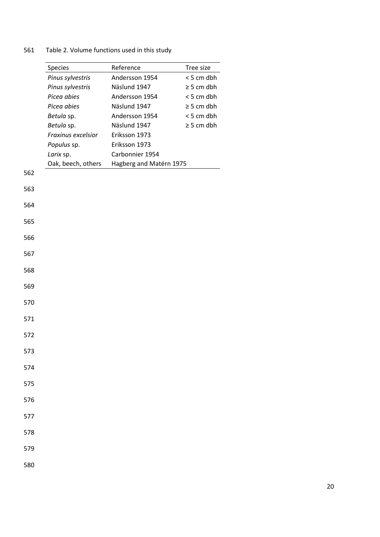# Table 2. Volume functions used in this study

|     | Species            | Reference               | Tree size       |
|-----|--------------------|-------------------------|-----------------|
|     | Pinus sylvestris   | Andersson 1954          | < 5 cm dbh      |
|     | Pinus sylvestris   | Näslund 1947            | $\geq$ 5 cm dbh |
|     | Picea abies        | Andersson 1954          | < 5 cm dbh      |
|     | Picea abies        | Näslund 1947            | $\geq$ 5 cm dbh |
|     | Betula sp.         | Andersson 1954          | < 5 cm dbh      |
|     | Betula sp.         | Näslund 1947            | $\geq$ 5 cm dbh |
|     | Fraxinus excelsior | Eriksson 1973           |                 |
|     | Populus sp.        | Eriksson 1973           |                 |
|     | Larix sp.          | Carbonnier 1954         |                 |
|     | Oak, beech, others | Hagberg and Matérn 1975 |                 |
| 562 |                    |                         |                 |
| 563 |                    |                         |                 |
| 564 |                    |                         |                 |
| 565 |                    |                         |                 |
| 566 |                    |                         |                 |
| 567 |                    |                         |                 |
| 568 |                    |                         |                 |
| 569 |                    |                         |                 |
| 570 |                    |                         |                 |
| 571 |                    |                         |                 |
| 572 |                    |                         |                 |
| 573 |                    |                         |                 |
| 574 |                    |                         |                 |
| 575 |                    |                         |                 |
| 576 |                    |                         |                 |
| 577 |                    |                         |                 |
| 578 |                    |                         |                 |
| 579 |                    |                         |                 |
| 580 |                    |                         |                 |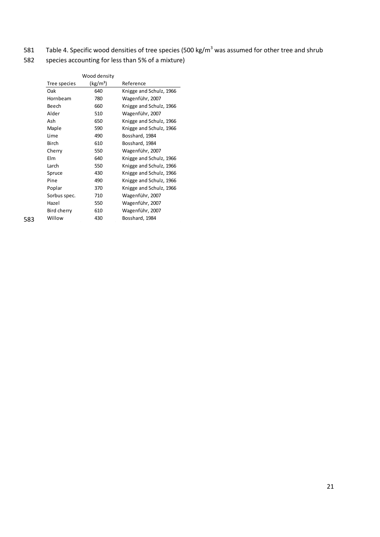- 581 Table 4. Specific wood densities of tree species (500 kg/m<sup>3</sup> was assumed for other tree and shrub
- 582 species accounting for less than 5% of a mixture)

|     |              | Wood density         |                         |
|-----|--------------|----------------------|-------------------------|
|     | Tree species | (kg/m <sup>3</sup> ) | Reference               |
|     | Oak          | 640                  | Knigge and Schulz, 1966 |
|     | Hornbeam     | 780                  | Wagenführ, 2007         |
|     | Beech        | 660                  | Knigge and Schulz, 1966 |
|     | Alder        | 510                  | Wagenführ, 2007         |
|     | Ash          | 650                  | Knigge and Schulz, 1966 |
|     | Maple        | 590                  | Knigge and Schulz, 1966 |
|     | Lime         | 490                  | Bosshard, 1984          |
|     | <b>Birch</b> | 610                  | Bosshard, 1984          |
|     | Cherry       | 550                  | Wagenführ, 2007         |
|     | Elm          | 640                  | Knigge and Schulz, 1966 |
|     | Larch        | 550                  | Knigge and Schulz, 1966 |
|     | Spruce       | 430                  | Knigge and Schulz, 1966 |
|     | Pine         | 490                  | Knigge and Schulz, 1966 |
|     | Poplar       | 370                  | Knigge and Schulz, 1966 |
|     | Sorbus spec. | 710                  | Wagenführ, 2007         |
|     | Hazel        | 550                  | Wagenführ, 2007         |
|     | Bird cherry  | 610                  | Wagenführ, 2007         |
| 583 | Willow       | 430                  | Bosshard, 1984          |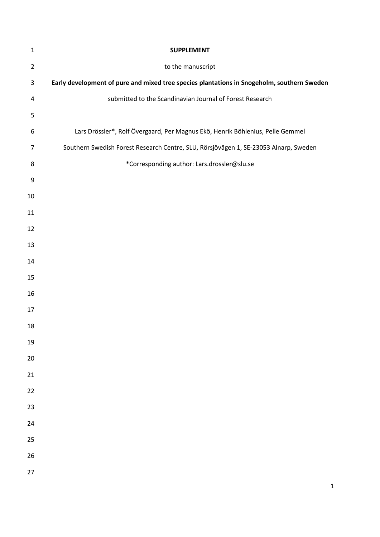| $1\,$          | <b>SUPPLEMENT</b>                                                                          |
|----------------|--------------------------------------------------------------------------------------------|
| $\overline{2}$ | to the manuscript                                                                          |
| 3              | Early development of pure and mixed tree species plantations in Snogeholm, southern Sweden |
| 4              | submitted to the Scandinavian Journal of Forest Research                                   |
| 5              |                                                                                            |
| 6              | Lars Drössler*, Rolf Övergaard, Per Magnus Ekö, Henrik Böhlenius, Pelle Gemmel             |
| $\overline{7}$ | Southern Swedish Forest Research Centre, SLU, Rörsjövägen 1, SE-23053 Alnarp, Sweden       |
| 8              | *Corresponding author: Lars.drossler@slu.se                                                |
| 9              |                                                                                            |
| 10             |                                                                                            |
| 11             |                                                                                            |
| 12             |                                                                                            |
| 13             |                                                                                            |
| 14             |                                                                                            |
| 15             |                                                                                            |
| 16             |                                                                                            |
| 17             |                                                                                            |
| 18             |                                                                                            |
| 19             |                                                                                            |
| 20             |                                                                                            |
| 21             |                                                                                            |
| 22             |                                                                                            |
| 23             |                                                                                            |
| 24             |                                                                                            |
| 25             |                                                                                            |
| 26             |                                                                                            |
| 27             |                                                                                            |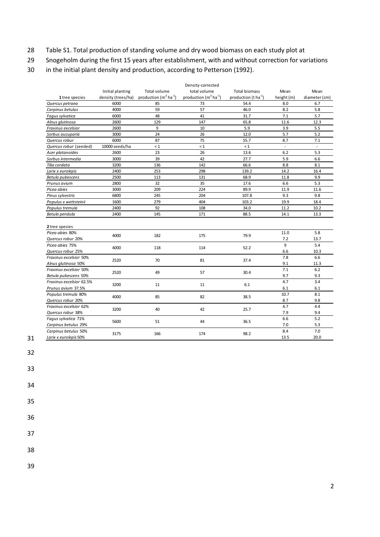- 28 Table S1. Total production of standing volume and dry wood biomass on each study plot at
- 29 Snogeholm during the first 15 years after establishment, with and without correction for variations
- 30 in the initial plant density and production, according to Petterson (1992).

|                          |                    |                                    | Density-corrected                             |                                  |                |               |
|--------------------------|--------------------|------------------------------------|-----------------------------------------------|----------------------------------|----------------|---------------|
|                          | Initial planting   | <b>Total volume</b>                | total volume                                  | <b>Total biomass</b>             | Mean           | Mean          |
| 1 tree species           | density (trees/ha) | production $(m^3 \text{ ha}^{-1})$ | production (m <sup>3</sup> ha <sup>-1</sup> ) | production (t ha <sup>-1</sup> ) | height (m)     | diameter (cm) |
| Quercus petraea          | 6000               | 85                                 | 73                                            | 54.4                             | 8.0            | 6.7           |
| Carpinus betulus         | 4000               | 59                                 | 57                                            | 46.0                             | 8.2            | 5.8           |
| Fagus sylvatica          | 6000               | 48                                 | 41                                            | 31.7                             | 7.1            | 5.7           |
| Alnus glutinosa          | 2600               | 129                                | 147                                           | 65.8                             | 11.6           | 12.3          |
| Fraxinus excelsior       | 2600               | 9                                  | 10                                            | 5.9                              | 3.9            | 5.5           |
| Sorbus aucuparia         | 3000               | 24                                 | 26                                            | 12.0                             | 5.7            | 5.2           |
| Quercus robur            | 6000               | 87                                 | 75                                            | 55.7                             | 8.7            | 7.1           |
| Quercus robur (seeded)   | 10000 seeds/ha     | $\leq 1$                           | $\leq 1$                                      | $\leq 1$                         | $\blacksquare$ | $\sim$        |
| Acer platanoides         | 2600               | 23                                 | 26                                            | 13.6                             | 6.2            | 5.3           |
| Sorbus intermedia        | 3000               | 39                                 | 42                                            | 27.7                             | 5.9            | 6.6           |
| Tilia cordata            | 3200               | 136                                | 142                                           | 66.6                             | 8.8            | 8.1           |
| Larix x eurolepis        | 2400               | 253                                | 298                                           | 139.2                            | 14.2           | 16.4          |
| Betula pubescens         | 2500               | 113                                | 131                                           | 68.9                             | 11.8           | 9.9           |
| Prunus avium             | 2800               | 32                                 | 35                                            | 17.6                             | 6.6            | 5.3           |
| Picea abies              | 3000               | 209                                | 224                                           | 89.9                             | 11.9           | 11.6          |
| Pinus sylvestris         | 6800               | 245                                | 204                                           | 107.8                            | 9.3            | 9.8           |
| Populus x wettsteinii    | 1600               | 279                                | 404                                           | 103.2                            | 19.9           | 18.4          |
| Populus tremula          | 2400               | 92                                 | 108                                           | 34.0                             | 11.2           | 10.2          |
| Betula pendula           | 2400               | 145                                | 171                                           | 88.5                             | 14.1           | 13.3          |
|                          |                    |                                    |                                               |                                  |                |               |
| 2 tree species           |                    |                                    |                                               |                                  |                |               |
| Picea abies 80%          | 4000               | 182                                | 175                                           | 79.9                             | 11.0           | 5.8           |
| Quercus robur 20%        |                    |                                    |                                               |                                  | 7.2            | 13.7          |
| Picea abies 75%          | 4000               | 118                                | 114                                           | 52.2                             | 9              | 5.4           |
| Quercus robur 25%        |                    |                                    |                                               |                                  | 6.6            | 10.3          |
| Fraxinus excelsior 50%   | 2520               | 70                                 | 81                                            | 37.4                             | 7.8            | 6.6           |
| Alnus glutinosa 50%      |                    |                                    |                                               |                                  | 9.1            | 11.3          |
| Fraxinus excelsior 50%   | 2520               | 49                                 | 57                                            | 30.4                             | 7.1            | 6.2           |
| Betula pubescens 50%     |                    |                                    |                                               |                                  | 9.7            | 9.3           |
| Fraxinus excelsior 62.5% | 3200               | 11                                 | 11                                            | 6.1                              | 4.7            | 3.4           |
| Prunus avium 37.5%       |                    |                                    |                                               |                                  | 6.1            | 6.1           |
| Populus tremula 80%      | 4000               | 85                                 | 82                                            | 38.5                             | 10.7           | 8.1           |
| Quercus robur 20%        |                    |                                    |                                               |                                  | 8.7            | 9.8           |
| Fraxinus excelsior 62%   | 3200               | 40                                 | 42                                            | 25.7                             | 4.7            | 4.4           |
| Quercus robur 38%        |                    |                                    |                                               |                                  | 7.9            | 9.4           |
| Fagus sylvatica 71%      | 5600               | 51                                 | 44                                            | 36.5                             | 6.6            | 5.2           |
| Carpinus betulus 29%     |                    |                                    |                                               |                                  | 7.0            | 5.3           |
| Carpinus betulus 50%     | 3175               | 166                                | 174                                           | 98.2                             | 8.4            | 7.0           |
| Larix x eurolepis 50%    |                    |                                    |                                               |                                  | 13.5           | 20.0          |

- 31 32
- 
- 33
- 34
- 35

37

38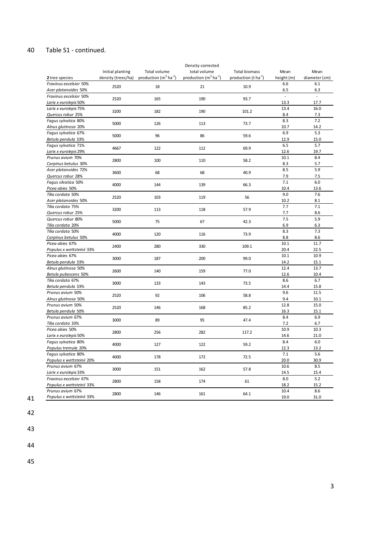## 40 Table S1 - continued.

|                           |                    |                                    | Density-corrected                             |                                  |            |               |
|---------------------------|--------------------|------------------------------------|-----------------------------------------------|----------------------------------|------------|---------------|
|                           | Initial planting   | Total volume                       | total volume                                  | <b>Total biomass</b>             | Mean       | Mean          |
| 2 tree species            | density (trees/ha) | production $(m^3 \text{ ha}^{-1})$ | production (m <sup>3</sup> ha <sup>-1</sup> ) | production (t ha <sup>-1</sup> ) | height (m) | diameter (cm) |
| Fraxinus excelsior 50%    |                    |                                    |                                               |                                  | 6.6        | 6.1           |
| Acer platanoides 50%      | 2520               | 18                                 | 21                                            | 10.9                             | 6.5        | 6.3           |
| Fraxinus excelsior 50%    |                    |                                    |                                               |                                  |            |               |
| Larix x eurolepis 50%     | 2520               | 165                                | 190                                           | 93.7                             | 13.3       | 17.7          |
| Larix x eurolepis 75%     |                    |                                    |                                               |                                  | 13.4       | 16.0          |
|                           | 3200               | 182                                | 190                                           | 101.2                            | 8.4        |               |
| Quercus robur 25%         |                    |                                    |                                               |                                  | 8.3        | 7.3<br>7.2    |
| Fagus sylvatica 80%       | 5000               | 126                                | 113                                           | 73.7                             |            |               |
| Alnus glutinosa 20%       |                    |                                    |                                               |                                  | 10.7       | 14.2          |
| Fagus sylvatica 67%       | 5000               | 96                                 | 86                                            | 59.6                             | 6.9        | 5.3           |
| Betula pendula 33%        |                    |                                    |                                               |                                  | 12.9       | 15.0          |
| Fagus sylvatica 71%       | 4667               | 122                                | 112                                           | 69.9                             | 6.5        | 5.7           |
| Larix x eurolepis 29%     |                    |                                    |                                               |                                  | 12.6       | 19.7          |
| Prunus avium 70%          | 2800               | 100                                | 110                                           | 58.2                             | 10.1       | 8.4           |
| Carpinus betulus 30%      |                    |                                    |                                               |                                  | 8.3        | 5.7           |
| Acer platanoides 72%      | 3600               | 68                                 | 68                                            | 40.9                             | 8.5        | 5.9           |
| Quercus robur 28%         |                    |                                    |                                               |                                  | 7.9        | 7.5           |
| Fagus silvatica 50%       | 4000               | 144                                | 139                                           | 66.3                             | 7.1        | 6.0           |
| Picea abies 50%           |                    |                                    |                                               |                                  | 10.4       | 13.6          |
| Tilia cordata 50%         | 2520               | 103                                | 119                                           | 56                               | 9.0        | 7.6           |
| Acer platanoides 50%      |                    |                                    |                                               |                                  | 10.2       | 8.1           |
| Tilia cordata 75%         | 3200               | 113                                | 118                                           | 57.9                             | 7.7        | 7.1           |
| Quercus robur 25%         |                    |                                    |                                               |                                  | 7.7        | 8.6           |
| Quercus robur 80%         | 5000               | 75                                 | 67                                            | 42.3                             | 7.5        | 5.9           |
| Tilia cordata 20%         |                    |                                    |                                               |                                  | 6.9        | 6.3           |
| Tilia cordata 50%         | 4000               | 120                                | 116                                           | 73.9                             | 8.3        | 7.3           |
| Carpinus betulus 50%      |                    |                                    |                                               |                                  | 8.8        | 8.6           |
| Picea abies 67%           | 2400               | 280                                | 330                                           | 109.1                            | 10.1       | 11.7          |
| Populus x wettsteinii 33% |                    |                                    |                                               |                                  | 20.4       | 22.5          |
| Picea abies 67%           | 3000               | 187                                | 200                                           | 99.0                             | 10.1       | 10.9          |
| Betula pendula 33%        |                    |                                    |                                               |                                  | 14.2       | 15.1          |
| Alnus glutinosa 50%       |                    |                                    |                                               |                                  | 12.4       | 13.7          |
| Betula pubescens 50%      | 2600               | 140                                | 159                                           | 77.0                             | 12.6       | 10.4          |
| Tilia cordata 67%         |                    |                                    |                                               |                                  | 8.6        | 6.7           |
| Betula pendula 33%        | 3000               | 133                                | 143                                           | 73.5                             | 14.4       | 15.8          |
| Prunus avium 50%          |                    |                                    |                                               |                                  | 9.6        | 11.5          |
| Alnus glutinosa 50%       | 2520               | 92                                 | 106                                           | 58.8                             | 9.4        | 10.1          |
| Prunus avium 50%          |                    |                                    |                                               |                                  | 12.8       | 15.0          |
| Betula pendula 50%        | 2520               | 146                                | 168                                           | 85.2                             | 16.3       | 15.1          |
| Prunus avium 67%          |                    |                                    |                                               |                                  | 8.4        | 6.9           |
| Tilia cordata 33%         | 3000               | 89                                 | 95                                            | 47.4                             | 7.2        | 6.7           |
| Picea abies 50%           |                    |                                    |                                               |                                  | 10.9       | 10.3          |
| Larix x eurolepis 50%     | 2800               | 256                                | 282                                           | 117.2                            | 14.6       | 21.0          |
| Fagus sylvatica 80%       |                    |                                    |                                               |                                  | 8.4        | 6.0           |
| Populus tremula 20%       | 4000               | 127                                | 122                                           | 59.2                             | 12.3       | 13.2          |
| Fagus sylvatica 80%       |                    |                                    |                                               |                                  | 7.1        | 5.6           |
| Populus x wettsteinii 20% | 4000               | 178                                | 172                                           | 72.5                             | 20.0       | 30.9          |
| Prunus avium 67%          |                    |                                    |                                               |                                  | 10.6       | 8.5           |
| Larix x eurolepis 33%     | 3000               | 151                                | 162                                           | 57.8                             | 14.5       | 15.4          |
| Fraxinus excelsior 67%    |                    |                                    |                                               |                                  | 8.0        | 5.2           |
| Populus x wettsteinii 33% | 2800               | 158                                | 174                                           | 61                               | 18.2       | 15.2          |
| Prunus avium 67%          |                    |                                    |                                               |                                  | 10.4       | 8.6           |
| Populus x wettsteinii 33% | 2800               | 146                                | 161                                           | 64.1                             | 19.0       | 31.0          |

41 42

43

44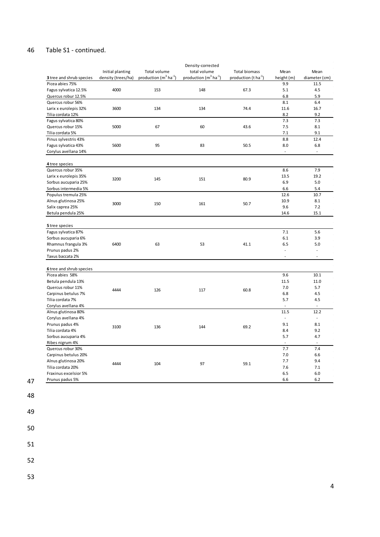#### 46 Table S1 - continued.

|                                     |                    |                                    | Density-corrected          |                                  |                          |                          |
|-------------------------------------|--------------------|------------------------------------|----------------------------|----------------------------------|--------------------------|--------------------------|
|                                     | Initial planting   | Total volume                       | total volume               | <b>Total biomass</b>             | Mean                     | Mean                     |
| 3 tree and shrub species            | density (trees/ha) | production $(m^3 \text{ ha}^{-1})$ | production $(m^3 ha^{-1})$ | production $(t \text{ ha}^{-1})$ | height (m)               | diameter (cm)            |
| Picea abies 75%                     |                    |                                    |                            |                                  | 9.9                      | 11.5                     |
| Fagus sylvatica 12.5%               | 4000               | 153                                | 148                        | 67.3                             | 5.1                      | 4.5                      |
| Quercus robur 12.5%                 |                    |                                    |                            |                                  | 6.8                      | 5.9                      |
| Quercus robur 56%                   |                    |                                    |                            |                                  | 8.1                      | 6.4                      |
| Larix x eurolepis 32%               | 3600               | 134                                | 134                        | 74.4                             | 11.6                     | 16.7                     |
| Tilia cordata 12%                   |                    |                                    |                            |                                  | 8.2                      | 9.2                      |
| Fagus sylvatica 80%                 |                    |                                    |                            |                                  | 7.3                      | 7.3                      |
| Quercus robur 15%                   | 5000               | 67                                 | 60                         | 43.6                             | 7.5                      | 8.1                      |
| Tilia cordata 5%                    |                    |                                    |                            |                                  | 7.1                      | 9.1                      |
| Pinus sylvestris 43%                |                    |                                    |                            |                                  | 8.8                      | 12.4                     |
| Fagus sylvatica 43%                 | 5600               | 95                                 | 83                         | 50.5                             | 8.0                      | 6.8                      |
| Corylus avellana 14%                |                    |                                    |                            |                                  | $\overline{\phantom{a}}$ | $\blacksquare$           |
|                                     |                    |                                    |                            |                                  |                          |                          |
|                                     |                    |                                    |                            |                                  |                          |                          |
| 4 tree species<br>Quercus robur 35% |                    |                                    |                            |                                  | 8.6                      | 7.9                      |
| Larix x eurolepis 35%               |                    |                                    |                            |                                  | 13.5                     | 19.2                     |
|                                     | 3200               | 145                                | 151                        | 80.9                             | 6.9                      | 5.0                      |
| Sorbus aucuparia 25%                |                    |                                    |                            |                                  |                          |                          |
| Sorbus intermedia 5%                |                    |                                    |                            |                                  | 6.6                      | 5.4                      |
| Populus tremula 25%                 |                    |                                    |                            |                                  | 12.6                     | 10.7                     |
| Alnus glutinosa 25%                 | 3000               | 150                                | 161                        | 50.7                             | 10.9                     | 8.1                      |
| Salix caprea 25%                    |                    |                                    |                            |                                  | 9.6                      | 7.2                      |
| Betula pendula 25%                  |                    |                                    |                            |                                  | 14.6                     | 15.1                     |
|                                     |                    |                                    |                            |                                  |                          |                          |
| 5 tree species                      |                    |                                    |                            |                                  |                          |                          |
| Fagus sylvatica 87%                 |                    |                                    |                            |                                  | 7.1                      | 5.6                      |
| Sorbus aucuparia 6%                 |                    |                                    |                            |                                  | 6.1                      | 3.9                      |
| Rhamnus frangula 3%                 | 6400               | 63                                 | 53                         | 41.1                             | 6.5                      | 5.0                      |
| Prunus padus 2%                     |                    |                                    |                            |                                  | $\overline{\phantom{a}}$ | $\overline{\phantom{a}}$ |
| Taxus baccata 2%                    |                    |                                    |                            |                                  | $\sim$                   | ÷.                       |
|                                     |                    |                                    |                            |                                  |                          |                          |
| 6 tree and shrub species            |                    |                                    |                            |                                  |                          |                          |
| Picea abies 58%                     |                    |                                    |                            |                                  | 9.6                      | 10.1                     |
| Betula pendula 13%                  |                    |                                    |                            |                                  | 11.5                     | 11.0                     |
| Quercus robur 11%                   | 4444               | 126                                | 117                        | 60.8                             | 7.0                      | 5.7                      |
| Carpinus betulus 7%                 |                    |                                    |                            |                                  | 6.8                      | 4.5                      |
| Tilia cordata 7%                    |                    |                                    |                            |                                  | 5.7                      | 4.5                      |
| Corylus avellana 4%                 |                    |                                    |                            |                                  |                          |                          |
| Alnus glutinosa 80%                 |                    |                                    |                            |                                  | 11.5                     | 12.2                     |
| Corylus avellana 4%                 |                    |                                    |                            |                                  | $\overline{a}$           |                          |
| Prunus padus 4%                     | 3100               | 136                                | 144                        | 69.2                             | 9.1                      | 8.1                      |
| Tilia cordata 4%                    |                    |                                    |                            |                                  | 8.4                      | 9.2                      |
| Sorbus aucuparia 4%                 |                    |                                    |                            |                                  | 5.7                      | 4.7                      |
| Ribes nigrum 4%                     |                    |                                    |                            |                                  | $\overline{\phantom{a}}$ | ÷.                       |
| Quercus robur 30%                   |                    |                                    |                            |                                  | 7.7                      | 7.4                      |
| Carpinus betulus 20%                |                    |                                    |                            |                                  | 7.0                      | 6.6                      |
| Alnus glutinosa 20%                 | 4444               | 104                                | 97                         | 59.1                             | 7.7                      | 9.4                      |
| Tilia cordata 20%                   |                    |                                    |                            |                                  | 7.6                      | 7.1                      |
| Fraxinus excelsior 5%               |                    |                                    |                            |                                  | 6.5                      | 6.0                      |
| Prunus padus 5%                     |                    |                                    |                            |                                  | 6.6                      | 6.2                      |
|                                     |                    |                                    |                            |                                  |                          |                          |

48

47

49

50

51

52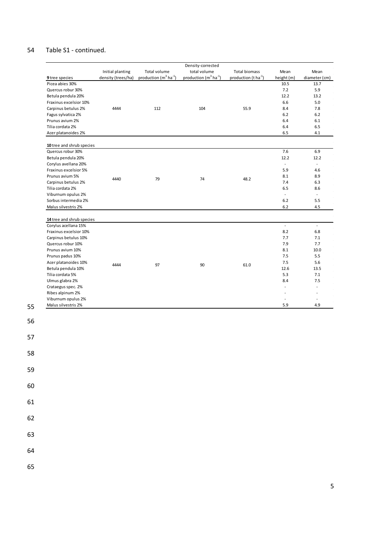## 54 Table S1 - continued.

|                                           |                    |                                    | Density-corrected          |                                  |                          |                          |
|-------------------------------------------|--------------------|------------------------------------|----------------------------|----------------------------------|--------------------------|--------------------------|
|                                           | Initial planting   | Total volume                       | total volume               | <b>Total biomass</b>             | Mean                     | Mean                     |
| 9 tree species                            | density (trees/ha) | production $(m^3 \text{ ha}^{-1})$ | production $(m^3 ha^{-1})$ | production (t ha <sup>-1</sup> ) | height (m)               | diameter (cm)            |
| Picea abies 30%                           |                    |                                    |                            |                                  | 10.5                     | 13.7                     |
| Quercus robur 30%                         |                    |                                    |                            |                                  | 7.2                      | 5.9                      |
| Betula pendula 20%                        |                    |                                    |                            |                                  | 12.2                     | 13.2                     |
| Fraxinus excelsior 10%                    |                    |                                    |                            |                                  | 6.6                      | 5.0                      |
| Carpinus betulus 2%                       | 4444               | 112                                | 104                        | 55.9                             | 8.4                      | 7.8                      |
| Fagus sylvatica 2%                        |                    |                                    |                            |                                  | 6.2                      | $6.2$                    |
| Prunus avium 2%                           |                    |                                    |                            |                                  | 6.4                      | 6.1                      |
| Tilia cordata 2%                          |                    |                                    |                            |                                  | 6.4                      | 6.5                      |
| Acer platanoides 2%                       |                    |                                    |                            |                                  | 6.5                      | 4.1                      |
|                                           |                    |                                    |                            |                                  |                          |                          |
| 10 tree and shrub species                 |                    |                                    |                            |                                  |                          |                          |
| Quercus robur 30%                         |                    |                                    |                            |                                  | 7.6                      | 6.9                      |
| Betula pendula 20%                        |                    |                                    |                            |                                  | 12.2                     | 12.2                     |
| Corylus avellana 20%                      |                    |                                    |                            |                                  | $\overline{\phantom{a}}$ | ÷,                       |
| Fraxinus excelsior 5%                     |                    |                                    |                            |                                  | 5.9                      | 4.6                      |
| Prunus avium 5%                           |                    |                                    |                            |                                  | 8.1                      | 8.9                      |
| Carpinus betulus 2%                       | 4440               | 79                                 | 74                         | 48.2                             | 7.4                      | 6.3                      |
| Tilia cordata 2%                          |                    |                                    |                            |                                  | 6.5                      | 8.6                      |
| Viburnum opulus 2%                        |                    |                                    |                            |                                  | $\overline{\phantom{a}}$ | $\Box$                   |
|                                           |                    |                                    |                            |                                  |                          | 5.5                      |
| Sorbus intermedia 2%                      |                    |                                    |                            |                                  | 6.2                      |                          |
| Malus silvestris 2%                       |                    |                                    |                            |                                  | 6.2                      | 4.5                      |
| 14 tree and shrub species                 |                    |                                    |                            |                                  |                          |                          |
| Corylus acellana 15%                      |                    |                                    |                            |                                  | $\overline{a}$           | ÷,                       |
| Fraxinus excelsior 10%                    |                    |                                    |                            |                                  | 8.2                      | 6.8                      |
| Carpinus betulus 10%                      |                    |                                    |                            |                                  | 7.7                      | 7.1                      |
| Quercus robur 10%                         |                    |                                    |                            |                                  | 7.9                      | 7.7                      |
| Prunus avium 10%                          |                    |                                    |                            |                                  | 8.1                      | 10.0                     |
|                                           |                    |                                    |                            |                                  |                          |                          |
| Prunus padus 10%                          |                    |                                    |                            |                                  | 7.5                      | 5.5                      |
| Acer platanoides 10%                      | 4444               | 97                                 | 90                         | 61.0                             | 7.5                      | 5.6                      |
| Betula pendula 10%                        |                    |                                    |                            |                                  | 12.6                     | 13.5                     |
| Tilia cordata 5%                          |                    |                                    |                            |                                  | 5.3                      | 7.1                      |
| Ulmus glabra 2%                           |                    |                                    |                            |                                  | 8.4                      | 7.5                      |
| Crataegus spec. 2%                        |                    |                                    |                            |                                  | $\overline{\phantom{a}}$ | $\overline{\phantom{a}}$ |
| Ribes alpinum 2%                          |                    |                                    |                            |                                  | $\overline{\phantom{a}}$ | ÷,                       |
| Viburnum opulus 2%<br>Malus silvestris 2% |                    |                                    |                            |                                  | $\overline{\phantom{a}}$ | $\overline{\phantom{a}}$ |
|                                           |                    |                                    |                            |                                  | 5.9                      | 4.9                      |

- 61 62
	- 63
	- 64

55

56

57

58

59

60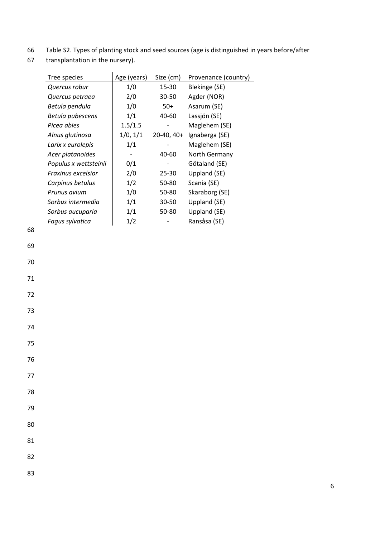- 66 Table S2. Types of planting stock and seed sources (age is distinguished in years before/after
- 67 transplantation in the nursery).

| Tree species          | Age (years) | Size (cm)  | Provenance (country) |
|-----------------------|-------------|------------|----------------------|
| Quercus robur         | 1/0         | 15-30      | <b>Blekinge (SE)</b> |
| Quercus petraea       | 2/0         | 30-50      | Agder (NOR)          |
| Betula pendula        | 1/0         | $50+$      | Asarum (SE)          |
| Betula pubescens      | 1/1         | 40-60      | Lassjön (SE)         |
| Picea abies           | 1.5/1.5     |            | Maglehem (SE)        |
| Alnus glutinosa       | 1/0, 1/1    | 20-40, 40+ | Ignaberga (SE)       |
| Larix x eurolepis     | 1/1         |            | Maglehem (SE)        |
| Acer platanoides      |             | 40-60      | North Germany        |
| Populus x wettsteinii | 0/1         |            | Götaland (SE)        |
| Fraxinus excelsior    | 2/0         | $25 - 30$  | Uppland (SE)         |
| Carpinus betulus      | 1/2         | 50-80      | Scania (SE)          |
| Prunus avium          | 1/0         | 50-80      | Skaraborg (SE)       |
| Sorbus intermedia     | 1/1         | 30-50      | Uppland (SE)         |
| Sorbus aucuparia      | 1/1         | 50-80      | Uppland (SE)         |
| Fagus sylvatica       | 1/2         |            | Ransåsa (SE)         |
|                       |             |            |                      |
|                       |             |            |                      |
|                       |             |            |                      |
|                       |             |            |                      |

70

- 72
- 73
- 74
- 75
- 76
- 77
- 78
- 
- 79 80
- 81
- 
- 82
- 83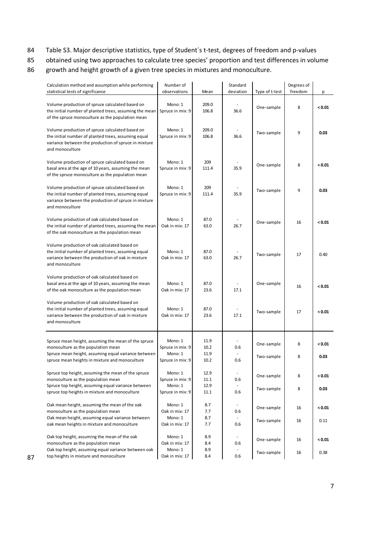- 84 Table S3. Major descriptive statistics, type of Student´s t-test, degrees of freedom and p-values
- 85 obtained using two approaches to calculate tree species' proportion and test differences in volume
- 86 growth and height growth of a given tree species in mixtures and monoculture.

| Calculation method and assumption while performing                                                       | Number of                   |              | Standard                 |                | Degrees of |        |
|----------------------------------------------------------------------------------------------------------|-----------------------------|--------------|--------------------------|----------------|------------|--------|
| statistical tests of significance                                                                        | observations                | Mean         | deviation                | Type of t-test | freedom    | р      |
| Volume production of spruce calculated based on                                                          | Mono: 1                     | 209.0        |                          |                |            |        |
| the initial number of planted trees, assuming the mean                                                   | Spruce in mix: 9            | 106.8        | 36.6                     | One-sample     | 8          | < 0.01 |
| of the spruce monoculture as the population mean                                                         |                             |              |                          |                |            |        |
|                                                                                                          |                             |              |                          |                |            |        |
| Volume production of spruce calculated based on                                                          | Mono: 1                     | 209.0        |                          | Two-sample     | 9          | 0.03   |
| the initial number of planted trees, assuming equal                                                      | Spruce in mix: 9            | 106.8        | 36.6                     |                |            |        |
| variance between the production of spruce in mixture                                                     |                             |              |                          |                |            |        |
| and monoculture                                                                                          |                             |              |                          |                |            |        |
| Volume production of spruce calculated based on                                                          | Mono: 1                     | 209          |                          |                |            |        |
| basal area at the age of 10 years, assuming the mean                                                     | Spruce in mix: 9            | 111.4        | 35.9                     | One-sample     | 8          | < 0.01 |
| of the spruce monoculture as the population mean                                                         |                             |              |                          |                |            |        |
|                                                                                                          |                             |              |                          |                |            |        |
| Volume production of spruce calculated based on                                                          | Mono: 1                     | 209          |                          | Two-sample     | 9          | 0.03   |
| the initial number of planted trees, assuming equal                                                      | Spruce in mix: 9            | 111.4        | 35.9                     |                |            |        |
| variance between the production of spruce in mixture<br>and monoculture                                  |                             |              |                          |                |            |        |
|                                                                                                          |                             |              |                          |                |            |        |
| Volume production of oak calculated based on                                                             | Mono: 1                     | 87.0         |                          |                |            | < 0.01 |
| the initial number of planted trees, assuming the mean                                                   | Oak in mix: 17              | 63.0         | 26.7                     | One-sample     | 16         |        |
| of the oak monoculture as the population mean                                                            |                             |              |                          |                |            |        |
|                                                                                                          |                             |              |                          |                |            |        |
| Volume production of oak calculated based on                                                             | Mono: 1                     | 87.0         |                          |                |            |        |
| the initial number of planted trees, assuming equal<br>variance between the production of oak in mixture | Oak in mix: 17              | 63.0         | 26.7                     | Two-sample     | 17         | 0.40   |
| and monoculture                                                                                          |                             |              |                          |                |            |        |
|                                                                                                          |                             |              |                          |                |            |        |
| Volume production of oak calculated based on                                                             |                             |              |                          |                |            |        |
| basal area at the age of 10 years, assuming the mean                                                     | Mono: 1                     | 87.0         |                          | One-sample     | 16         | < 0.01 |
| of the oak monoculture as the population mean                                                            | Oak in mix: 17              | 23.6         | 17.1                     |                |            |        |
| Volume production of oak calculated based on                                                             |                             |              |                          |                |            |        |
| the initial number of planted trees, assuming equal                                                      | Mono: 1                     | 87.0         |                          |                |            |        |
| variance between the production of oak in mixture                                                        | Oak in mix: 17              | 23.6         | 17.1                     | Two-sample     | 17         | < 0.01 |
| and monoculture                                                                                          |                             |              |                          |                |            |        |
|                                                                                                          |                             |              |                          |                |            |        |
|                                                                                                          |                             |              |                          |                |            |        |
| Spruce mean height, assuming the mean of the spruce                                                      | Mono: 1                     | 11.9<br>10.2 | 0.6                      | One-sample     | 8          | < 0.01 |
| monoculture as the population mean<br>Spruce mean height, assuming equal variance between                | Spruce in mix: 9<br>Mono: 1 | 11.9         |                          |                |            |        |
| spruce mean heights in mixture and monoculture                                                           | Spruce in mix: 9            | 10.2         | 0.6                      | Two-sample     | 8          | 0.03   |
|                                                                                                          |                             |              |                          |                |            |        |
| Spruce top height, assuming the mean of the spruce                                                       | Mono: 1                     | 12.9         | $\overline{\phantom{a}}$ | One-sample     | 8          | < 0.01 |
| monoculture as the population mean                                                                       | Spruce in mix: 9            | 11.1         | 0.6                      |                |            |        |
| Spruce top height, assuming equal variance between                                                       | Mono: 1                     | 12.9         | $\overline{\phantom{a}}$ | Two-sample     | 8          | 0.03   |
| spruce top heights in mixture and monoculture                                                            | Spruce in mix: 9            | 11.1         | 0.6                      |                |            |        |
| Oak mean height, assuming the mean of the oak                                                            | Mono: 1                     | 8.7          | $\sim$                   |                |            |        |
| monoculture as the population mean                                                                       | Oak in mix: 17              | 7.7          | 0.6                      | One-sample     | 16         | < 0.01 |
| Oak mean height, assuming equal variance between                                                         | Mono: 1                     | 8.7          |                          | Two-sample     |            | 0.11   |
| oak mean heights in mixture and monoculture                                                              | Oak in mix: 17              | 7.7          | 0.6                      |                | 16         |        |
|                                                                                                          |                             |              |                          |                |            |        |
| Oak top height, assuming the mean of the oak                                                             | Mono: 1                     | 8.9          |                          | One-sample     | 16         | < 0.01 |
| monoculture as the population mean<br>Oak top height, assuming equal variance between oak                | Oak in mix: 17<br>Mono: 1   | 8.4<br>8.9   | 0.6                      |                |            |        |
| top heights in mixture and monoculture                                                                   | Oak in mix: 17              | 8.4          | 0.6                      | Two-sample     | 16         | 0.38   |
|                                                                                                          |                             |              |                          |                |            |        |